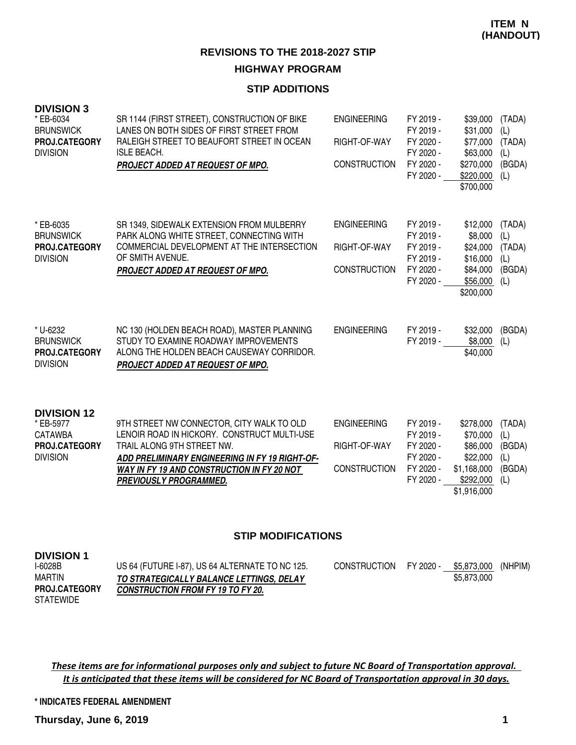### **STIP ADDITIONS**

| <b>DIVISION 3</b><br>* EB-6034<br><b>BRUNSWICK</b><br>PROJ.CATEGORY<br><b>DIVISION</b> | SR 1144 (FIRST STREET), CONSTRUCTION OF BIKE<br>LANES ON BOTH SIDES OF FIRST STREET FROM<br>RALEIGH STREET TO BEAUFORT STREET IN OCEAN<br><b>ISLE BEACH.</b><br>PROJECT ADDED AT REQUEST OF MPO.                                                        | <b>ENGINEERING</b><br>RIGHT-OF-WAY<br><b>CONSTRUCTION</b> | FY 2019 -<br>FY 2019 -<br>FY 2020 -<br>FY 2020 -<br>FY 2020 -<br>FY 2020 - | \$39,000<br>\$31,000<br>\$77,000<br>\$63,000<br>\$270,000<br>\$220,000<br>\$700,000      | (TADA)<br>(L)<br>(TADA)<br>(L)<br>(BGDA)<br>(L) |
|----------------------------------------------------------------------------------------|---------------------------------------------------------------------------------------------------------------------------------------------------------------------------------------------------------------------------------------------------------|-----------------------------------------------------------|----------------------------------------------------------------------------|------------------------------------------------------------------------------------------|-------------------------------------------------|
| * EB-6035<br><b>BRUNSWICK</b><br>PROJ.CATEGORY<br><b>DIVISION</b>                      | SR 1349, SIDEWALK EXTENSION FROM MULBERRY<br>PARK ALONG WHITE STREET, CONNECTING WITH<br>COMMERCIAL DEVELOPMENT AT THE INTERSECTION<br>OF SMITH AVENUE.<br>PROJECT ADDED AT REQUEST OF MPO.                                                             | <b>ENGINEERING</b><br>RIGHT-OF-WAY<br><b>CONSTRUCTION</b> | FY 2019 -<br>FY 2019 -<br>FY 2019 -<br>FY 2019 -<br>FY 2020 -<br>FY 2020 - | \$12,000<br>\$8,000<br>\$24,000<br>\$16,000<br>\$84,000<br>\$56,000<br>\$200,000         | (TADA)<br>(L)<br>(TADA)<br>(L)<br>(BGDA)<br>(L) |
| * U-6232<br><b>BRUNSWICK</b><br>PROJ.CATEGORY<br><b>DIVISION</b>                       | NC 130 (HOLDEN BEACH ROAD), MASTER PLANNING<br>STUDY TO EXAMINE ROADWAY IMPROVEMENTS<br>ALONG THE HOLDEN BEACH CAUSEWAY CORRIDOR.<br>PROJECT ADDED AT REQUEST OF MPO.                                                                                   | <b>ENGINEERING</b>                                        | FY 2019 -<br>FY 2019 -                                                     | \$32,000<br>\$8,000<br>\$40,000                                                          | (BGDA)<br>(L)                                   |
| <b>DIVISION 12</b><br>* EB-5977<br><b>CATAWBA</b><br>PROJ.CATEGORY<br><b>DIVISION</b>  | 9TH STREET NW CONNECTOR, CITY WALK TO OLD<br>LENOIR ROAD IN HICKORY. CONSTRUCT MULTI-USE<br>TRAIL ALONG 9TH STREET NW.<br>ADD PRELIMINARY ENGINEERING IN FY 19 RIGHT-OF-<br>WAY IN FY 19 AND CONSTRUCTION IN FY 20 NOT<br><b>PREVIOUSLY PROGRAMMED.</b> | <b>ENGINEERING</b><br>RIGHT-OF-WAY<br><b>CONSTRUCTION</b> | FY 2019 -<br>FY 2019 -<br>FY 2020 -<br>FY 2020 -<br>FY 2020 -<br>FY 2020 - | \$278,000<br>\$70,000<br>\$86,000<br>\$22,000<br>\$1,168,000<br>\$292,000<br>\$1,916,000 | (TADA)<br>(L)<br>(BGDA)<br>(L)<br>(BGDA)<br>(L) |

### **STIP MODIFICATIONS**

| <b>DIVISION 1</b>    |                                                 |                        |             |         |
|----------------------|-------------------------------------------------|------------------------|-------------|---------|
| I-6028B              | US 64 (FUTURE I-87), US 64 ALTERNATE TO NC 125. | CONSTRUCTION FY 2020 - | \$5.873.000 | (NHPIM) |
| MARTIN               | TO STRATEGICALLY BALANCE LETTINGS. DELAY        |                        | \$5,873,000 |         |
| <b>PROJ.CATEGORY</b> | <b>CONSTRUCTION FROM FY 19 TO FY 20.</b>        |                        |             |         |
| <b>STATEWIDE</b>     |                                                 |                        |             |         |

These items are for informational purposes only and subject to future NC Board of Transportation approval. It is anticipated that these items will be considered for NC Board of Transportation approval in 30 days.

**\* INDICATES FEDERAL AMENDMENT**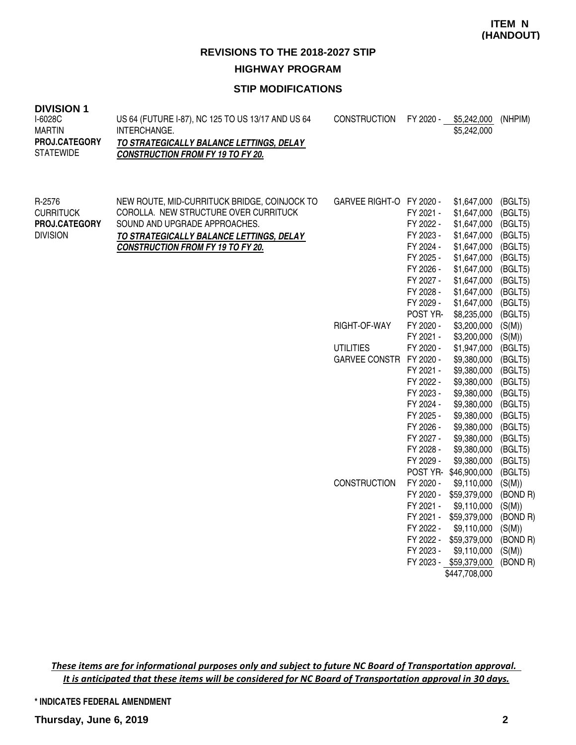## **STIP MODIFICATIONS**

| <b>DIVISION 1</b><br>I-6028C<br><b>MARTIN</b><br>PROJ.CATEGORY<br><b>STATEWIDE</b> | US 64 (FUTURE I-87), NC 125 TO US 13/17 AND US 64<br>INTERCHANGE.<br>TO STRATEGICALLY BALANCE LETTINGS, DELAY<br><b>CONSTRUCTION FROM FY 19 TO FY 20.</b>                                                      | <b>CONSTRUCTION</b>                      |                                                                                                                                                          | FY 2020 - \$5,242,000 (NHPIM)<br>\$5,242,000                                                                                                                                                             |                                                                                                                                            |
|------------------------------------------------------------------------------------|----------------------------------------------------------------------------------------------------------------------------------------------------------------------------------------------------------------|------------------------------------------|----------------------------------------------------------------------------------------------------------------------------------------------------------|----------------------------------------------------------------------------------------------------------------------------------------------------------------------------------------------------------|--------------------------------------------------------------------------------------------------------------------------------------------|
| R-2576<br><b>CURRITUCK</b><br>PROJ.CATEGORY<br><b>DIVISION</b>                     | NEW ROUTE, MID-CURRITUCK BRIDGE, COINJOCK TO<br>COROLLA. NEW STRUCTURE OVER CURRITUCK<br>SOUND AND UPGRADE APPROACHES.<br>TO STRATEGICALLY BALANCE LETTINGS, DELAY<br><b>CONSTRUCTION FROM FY 19 TO FY 20.</b> | GARVEE RIGHT-O FY 2020 -                 | FY 2021 -<br>FY 2022 -<br>FY 2023 -<br>FY 2024 -<br>FY 2025 -<br>FY 2026 -<br>FY 2027 -<br>FY 2028 -<br>FY 2029 -<br>POST YR-                            | \$1,647,000<br>\$1,647,000<br>\$1,647,000<br>\$1,647,000<br>\$1,647,000<br>\$1,647,000<br>\$1,647,000<br>\$1,647,000<br>\$1,647,000<br>\$1,647,000<br>\$8,235,000                                        | (BGLT5)<br>(BGLT5)<br>(BGLT5)<br>(BGLT5)<br>(BGLT5)<br>(BGLT5)<br>(BGLT5)<br>(BGLT5)<br>(BGLT5)<br>(BGLT5)<br>(BGLT5)                      |
|                                                                                    |                                                                                                                                                                                                                | RIGHT-OF-WAY                             | FY 2020 -                                                                                                                                                | \$3,200,000                                                                                                                                                                                              | (S(M))                                                                                                                                     |
|                                                                                    |                                                                                                                                                                                                                | <b>UTILITIES</b><br><b>GARVEE CONSTR</b> | FY 2021 -<br>FY 2020 -<br>FY 2020 -<br>FY 2021 -<br>FY 2022 -<br>FY 2023 -<br>FY 2024 -<br>FY 2025 -<br>FY 2026 -<br>FY 2027 -<br>FY 2028 -<br>FY 2029 - | \$3,200,000<br>\$1,947,000<br>\$9,380,000<br>\$9,380,000<br>\$9,380,000<br>\$9,380,000<br>\$9,380,000<br>\$9,380,000<br>\$9,380,000<br>\$9,380,000<br>\$9,380,000<br>\$9,380,000<br>POST YR-\$46,900,000 | (S(M))<br>(BGLT5)<br>(BGLT5)<br>(BGLT5)<br>(BGLT5)<br>(BGLT5)<br>(BGLT5)<br>(BGLT5)<br>(BGLT5)<br>(BGLT5)<br>(BGLT5)<br>(BGLT5)<br>(BGLT5) |
|                                                                                    |                                                                                                                                                                                                                | <b>CONSTRUCTION</b>                      | FY 2020 -<br>FY 2020 -<br>FY 2021 -<br>FY 2021 -<br>FY 2022 -<br>FY 2022 -<br>FY 2023 -                                                                  | \$9,110,000<br>\$59,379,000<br>\$9,110,000<br>\$59,379,000<br>\$9,110,000<br>\$59,379,000<br>\$9,110,000<br>FY 2023 - \$59,379,000<br>\$447,708,000                                                      | (S(M))<br>(BOND R)<br>(S(M))<br>(BOND R)<br>(S(M))<br>(BOND R)<br>(S(M))<br>(BOND R)                                                       |

These items are for informational purposes only and subject to future NC Board of Transportation approval. It is anticipated that these items will be considered for NC Board of Transportation approval in 30 days.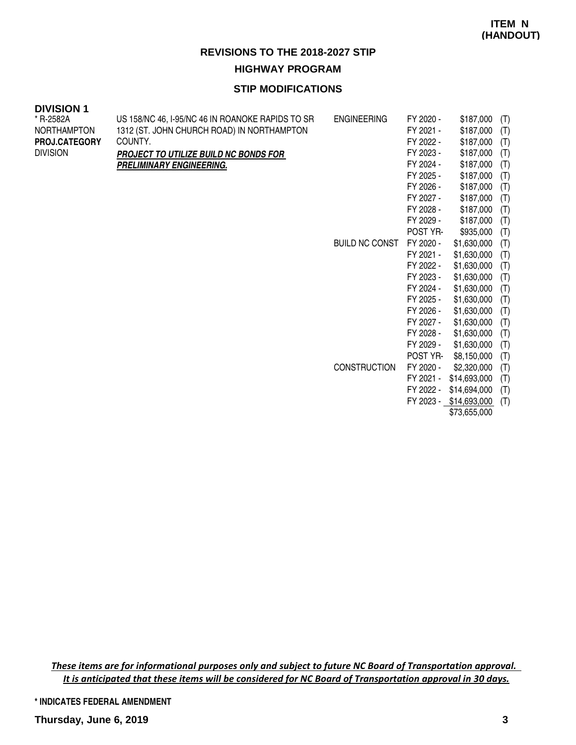### **STIP MODIFICATIONS**

| <b>DIVISION 1</b>  |                                                  |                       |           |                                             |     |
|--------------------|--------------------------------------------------|-----------------------|-----------|---------------------------------------------|-----|
| * R-2582A          | US 158/NC 46, I-95/NC 46 IN ROANOKE RAPIDS TO SR | <b>ENGINEERING</b>    | FY 2020 - | \$187,000                                   | (T) |
| <b>NORTHAMPTON</b> | 1312 (ST. JOHN CHURCH ROAD) IN NORTHAMPTON       |                       | FY 2021 - | \$187,000                                   | (T) |
| PROJ.CATEGORY      | COUNTY.                                          |                       | FY 2022 - | \$187,000                                   | (T) |
| <b>DIVISION</b>    | <b>PROJECT TO UTILIZE BUILD NC BONDS FOR</b>     |                       | FY 2023 - | \$187,000                                   | (T) |
|                    | <b>PRELIMINARY ENGINEERING.</b>                  |                       | FY 2024 - | \$187,000                                   | (T) |
|                    |                                                  |                       | FY 2025 - | \$187,000                                   | (T) |
|                    |                                                  |                       | FY 2026 - | \$187,000                                   | (T) |
|                    |                                                  |                       | FY 2027 - | \$187,000                                   | (T) |
|                    |                                                  |                       | FY 2028 - | \$187,000                                   | (T) |
|                    |                                                  |                       | FY 2029 - | \$187,000                                   | (T) |
|                    |                                                  |                       | POST YR-  | \$935,000                                   | (T) |
|                    |                                                  | <b>BUILD NC CONST</b> | FY 2020 - | \$1,630,000                                 | (T) |
|                    |                                                  |                       | FY 2021 - | \$1,630,000                                 | (T) |
|                    |                                                  |                       | FY 2022 - | \$1,630,000                                 | (T) |
|                    |                                                  |                       | FY 2023 - | \$1,630,000                                 | (T) |
|                    |                                                  |                       | FY 2024 - | \$1,630,000                                 | (T) |
|                    |                                                  |                       | FY 2025 - | \$1,630,000                                 | (T) |
|                    |                                                  |                       | FY 2026 - | \$1,630,000                                 | (T) |
|                    |                                                  |                       | FY 2027 - | \$1,630,000                                 | (T) |
|                    |                                                  |                       | FY 2028 - | \$1,630,000                                 | (T) |
|                    |                                                  |                       | FY 2029 - | \$1,630,000                                 | (T) |
|                    |                                                  |                       | POST YR-  | \$8,150,000                                 | (T) |
|                    |                                                  | <b>CONSTRUCTION</b>   | FY 2020 - | \$2,320,000                                 | (T) |
|                    |                                                  |                       | FY 2021 - | \$14,693,000                                | (T) |
|                    |                                                  |                       | FY 2022 - | \$14,694,000                                | (T) |
|                    |                                                  |                       |           | FY 2023 - \$14,693,000<br>$+ - - - - - - -$ | (T) |

\$73,655,000

These items are for informational purposes only and subject to future NC Board of Transportation approval. It is anticipated that these items will be considered for NC Board of Transportation approval in 30 days.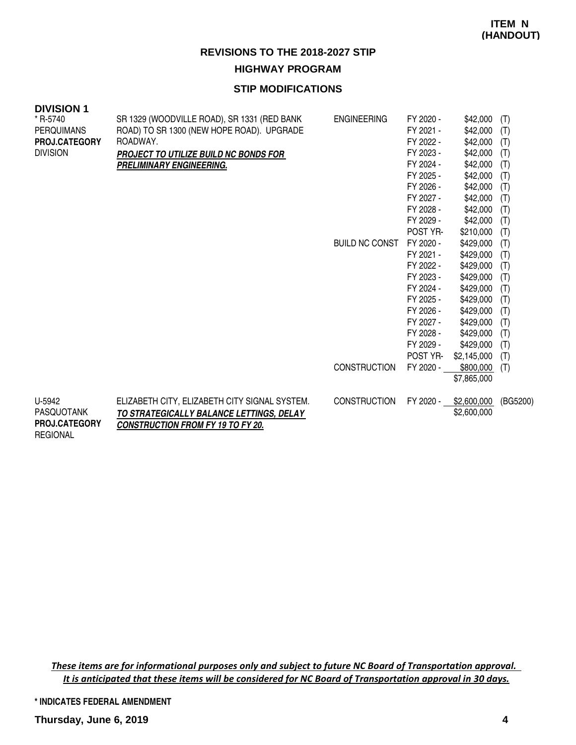### **STIP MODIFICATIONS**

| <b>DIVISION 1</b>                       |                                               |                       |           |             |          |
|-----------------------------------------|-----------------------------------------------|-----------------------|-----------|-------------|----------|
| * R-5740                                | SR 1329 (WOODVILLE ROAD), SR 1331 (RED BANK   | <b>ENGINEERING</b>    | FY 2020 - | \$42,000    | (T)      |
| <b>PERQUIMANS</b>                       | ROAD) TO SR 1300 (NEW HOPE ROAD). UPGRADE     |                       | FY 2021 - | \$42,000    | (T)      |
| PROJ.CATEGORY                           | ROADWAY.                                      |                       | FY 2022 - | \$42,000    | (T)      |
| <b>DIVISION</b>                         | PROJECT TO UTILIZE BUILD NC BONDS FOR         |                       | FY 2023 - | \$42,000    | (T)      |
|                                         | <b>PRELIMINARY ENGINEERING.</b>               |                       | FY 2024 - | \$42,000    | (T)      |
|                                         |                                               |                       | FY 2025 - | \$42,000    | (T)      |
|                                         |                                               |                       | FY 2026 - | \$42,000    | (T)      |
|                                         |                                               |                       | FY 2027 - | \$42,000    | (T)      |
|                                         |                                               |                       | FY 2028 - | \$42,000    | (T)      |
|                                         |                                               |                       | FY 2029 - | \$42,000    | (T)      |
|                                         |                                               |                       | POST YR-  | \$210,000   | (T)      |
|                                         |                                               | <b>BUILD NC CONST</b> | FY 2020 - | \$429,000   | (T)      |
|                                         |                                               |                       | FY 2021 - | \$429,000   | (T)      |
|                                         |                                               |                       | FY 2022 - | \$429,000   | (T)      |
|                                         |                                               |                       | FY 2023 - | \$429,000   | (T)      |
|                                         |                                               |                       | FY 2024 - | \$429,000   | (T)      |
|                                         |                                               |                       | FY 2025 - | \$429,000   | (T)      |
|                                         |                                               |                       | FY 2026 - | \$429,000   | (T)      |
|                                         |                                               |                       | FY 2027 - | \$429,000   | (T)      |
|                                         |                                               |                       | FY 2028 - | \$429,000   | (T)      |
|                                         |                                               |                       | FY 2029 - | \$429,000   | (T)      |
|                                         |                                               |                       | POST YR-  | \$2,145,000 | (T)      |
|                                         |                                               | <b>CONSTRUCTION</b>   | FY 2020 - | \$800,000   | (T)      |
|                                         |                                               |                       |           | \$7,865,000 |          |
| U-5942                                  | ELIZABETH CITY, ELIZABETH CITY SIGNAL SYSTEM. | <b>CONSTRUCTION</b>   | FY 2020 - | \$2,600,000 | (BG5200) |
| <b>PASQUOTANK</b>                       | TO STRATEGICALLY BALANCE LETTINGS, DELAY      |                       |           | \$2,600,000 |          |
| <b>PROJ.CATEGORY</b><br><b>REGIONAL</b> | <b>CONSTRUCTION FROM FY 19 TO FY 20.</b>      |                       |           |             |          |

These items are for informational purposes only and subject to future NC Board of Transportation approval. It is anticipated that these items will be considered for NC Board of Transportation approval in 30 days.

**\* INDICATES FEDERAL AMENDMENT**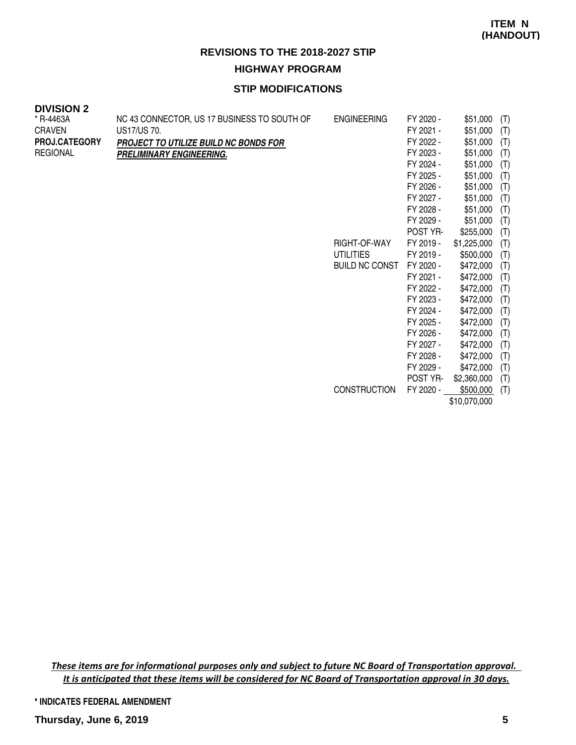## **STIP MODIFICATIONS**

| <b>DIVISION 2</b> |                                             |                       |           |             |     |
|-------------------|---------------------------------------------|-----------------------|-----------|-------------|-----|
| * R-4463A         | NC 43 CONNECTOR, US 17 BUSINESS TO SOUTH OF | <b>ENGINEERING</b>    | FY 2020 - | \$51,000    | (T) |
| <b>CRAVEN</b>     | US17/US 70.                                 |                       | FY 2021 - | \$51,000    | (T) |
| PROJ.CATEGORY     | PROJECT TO UTILIZE BUILD NC BONDS FOR       |                       | FY 2022 - | \$51,000    | (T) |
| <b>REGIONAL</b>   | <b>PRELIMINARY ENGINEERING.</b>             |                       | FY 2023 - | \$51,000    | (T) |
|                   |                                             |                       | FY 2024 - | \$51,000    | (T) |
|                   |                                             |                       | FY 2025 - | \$51,000    | (T) |
|                   |                                             |                       | FY 2026 - | \$51,000    | (T) |
|                   |                                             |                       | FY 2027 - | \$51,000    | (T) |
|                   |                                             |                       | FY 2028 - | \$51,000    | (T) |
|                   |                                             |                       | FY 2029 - | \$51,000    | (T) |
|                   |                                             |                       | POST YR-  | \$255,000   | (T) |
|                   |                                             | RIGHT-OF-WAY          | FY 2019 - | \$1,225,000 | (T) |
|                   |                                             | <b>UTILITIES</b>      | FY 2019 - | \$500,000   | (T) |
|                   |                                             | <b>BUILD NC CONST</b> | FY 2020 - | \$472,000   | (T) |
|                   |                                             |                       | FY 2021 - | \$472,000   | (T) |
|                   |                                             |                       | FY 2022 - | \$472,000   | (T) |
|                   |                                             |                       | FY 2023 - | \$472,000   | (T) |
|                   |                                             |                       | FY 2024 - | \$472,000   | (T) |
|                   |                                             |                       | FY 2025 - | \$472,000   | (T) |
|                   |                                             |                       | FY 2026 - | \$472,000   | (T) |
|                   |                                             |                       | FY 2027 - | \$472,000   | (T) |
|                   |                                             |                       | FY 2028 - | \$472,000   | (T) |
|                   |                                             |                       | FY 2029 - | \$472,000   | (T) |
|                   |                                             |                       | POST YR-  | \$2,360,000 | (T) |

CONSTRUCTION FY 2020 - \$500,000 (T)

\$10,070,000

These items are for informational purposes only and subject to future NC Board of Transportation approval. It is anticipated that these items will be considered for NC Board of Transportation approval in 30 days.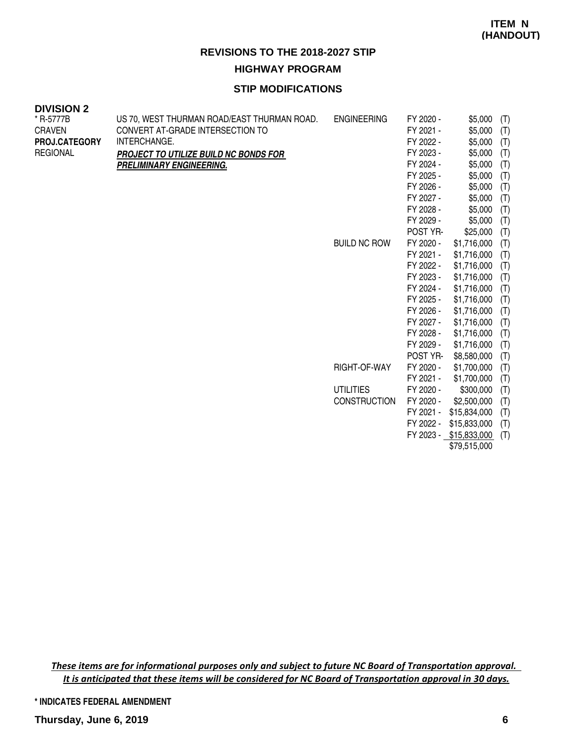### **STIP MODIFICATIONS**

| <b>DIVISION Z</b> |                                              |                     |           |              |     |
|-------------------|----------------------------------------------|---------------------|-----------|--------------|-----|
| * R-5777B         | US 70, WEST THURMAN ROAD/EAST THURMAN ROAD.  | <b>ENGINEERING</b>  | FY 2020 - | \$5,000      | (T) |
| <b>CRAVEN</b>     | CONVERT AT-GRADE INTERSECTION TO             |                     | FY 2021 - | \$5,000      | (T) |
| PROJ.CATEGORY     | INTERCHANGE.                                 |                     | FY 2022 - | \$5,000      | (T) |
| <b>REGIONAL</b>   | <b>PROJECT TO UTILIZE BUILD NC BONDS FOR</b> |                     | FY 2023 - | \$5,000      | (T) |
|                   | PRELIMINARY ENGINEERING.                     |                     | FY 2024 - | \$5,000      | (T) |
|                   |                                              |                     | FY 2025 - | \$5,000      | (T) |
|                   |                                              |                     | FY 2026 - | \$5,000      | (T) |
|                   |                                              |                     | FY 2027 - | \$5,000      | (T) |
|                   |                                              |                     | FY 2028 - | \$5,000      | (T) |
|                   |                                              |                     | FY 2029 - | \$5,000      | (T) |
|                   |                                              |                     | POST YR-  | \$25,000     | (T) |
|                   |                                              | <b>BUILD NC ROW</b> | FY 2020 - | \$1,716,000  | (T) |
|                   |                                              |                     | FY 2021 - | \$1,716,000  | (T) |
|                   |                                              |                     | FY 2022 - | \$1,716,000  | (T) |
|                   |                                              |                     | FY 2023 - | \$1,716,000  | (T) |
|                   |                                              |                     | FY 2024 - | \$1,716,000  | (T) |
|                   |                                              |                     | FY 2025 - | \$1,716,000  | (T) |
|                   |                                              |                     | FY 2026 - | \$1,716,000  | (T) |
|                   |                                              |                     | FY 2027 - | \$1,716,000  | (T) |
|                   |                                              |                     | FY 2028 - | \$1,716,000  | (T) |
|                   |                                              |                     | FY 2029 - | \$1,716,000  | (T) |
|                   |                                              |                     | POST YR-  | \$8,580,000  | (T) |
|                   |                                              | RIGHT-OF-WAY        | FY 2020 - | \$1,700,000  | (T) |
|                   |                                              |                     | FY 2021 - | \$1,700,000  | (T) |
|                   |                                              | <b>UTILITIES</b>    | FY 2020 - | \$300,000    | (T) |
|                   |                                              | CONSTRUCTION        | FY 2020 - | \$2,500,000  | (T) |
|                   |                                              |                     | FY 2021 - | \$15,834,000 | (T) |
|                   |                                              |                     | FY 2022 - | \$15,833,000 | (T) |

These items are for informational purposes only and subject to future NC Board of Transportation approval. It is anticipated that these items will be considered for NC Board of Transportation approval in 30 days.

**\* INDICATES FEDERAL AMENDMENT**

**DIVISION 2**

FY 2023 - \$15,833,000 (T) \$79,515,000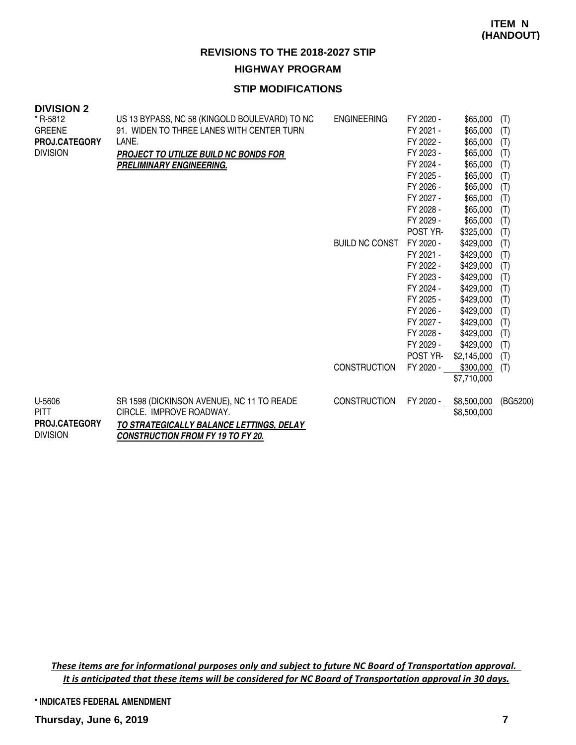### **STIP MODIFICATIONS**

| <b>DIVISION 2</b><br>* R-5812<br><b>GREENE</b><br>PROJ.CATEGORY<br><b>DIVISION</b> | US 13 BYPASS, NC 58 (KINGOLD BOULEVARD) TO NC<br>91. WIDEN TO THREE LANES WITH CENTER TURN<br>LANE.<br>PROJECT TO UTILIZE BUILD NC BONDS FOR<br><b>PRELIMINARY ENGINEERING.</b> | <b>ENGINEERING</b><br><b>BUILD NC CONST</b> | FY 2020 -<br>FY 2021 -<br>FY 2022 -<br>FY 2023 -<br>FY 2024 -<br>FY 2025 -<br>FY 2026 -<br>FY 2027 -<br>FY 2028 -<br>FY 2029 -<br>POST YR-<br>FY 2020 -<br>FY 2021 -<br>FY 2022 -<br>FY 2023 -<br>FY 2024 -<br>FY 2025 -<br>FY 2026 -<br>FY 2027 -<br>FY 2028 -<br>FY 2029 -<br>POST YR- | \$65,000<br>\$65,000<br>\$65,000<br>\$65,000<br>\$65,000<br>\$65,000<br>\$65,000<br>\$65,000<br>\$65,000<br>\$65,000<br>\$325,000<br>\$429,000<br>\$429,000<br>\$429,000<br>\$429,000<br>\$429,000<br>\$429,000<br>\$429,000<br>\$429,000<br>\$429,000<br>\$429,000<br>\$2,145,000 | (T)<br>(T)<br>(T)<br>(T)<br>(T)<br>(T)<br>(T)<br>(T)<br>(T)<br>(T)<br>(T)<br>(T)<br>(T)<br>(T)<br>(T)<br>(T)<br>(T)<br>(T)<br>(T)<br>(T)<br>(T)<br>(T) |
|------------------------------------------------------------------------------------|---------------------------------------------------------------------------------------------------------------------------------------------------------------------------------|---------------------------------------------|------------------------------------------------------------------------------------------------------------------------------------------------------------------------------------------------------------------------------------------------------------------------------------------|------------------------------------------------------------------------------------------------------------------------------------------------------------------------------------------------------------------------------------------------------------------------------------|--------------------------------------------------------------------------------------------------------------------------------------------------------|
|                                                                                    |                                                                                                                                                                                 | <b>CONSTRUCTION</b>                         | FY 2020 -                                                                                                                                                                                                                                                                                | \$300,000<br>\$7,710,000                                                                                                                                                                                                                                                           | (T)                                                                                                                                                    |
| U-5606<br><b>PITT</b><br><b>PROJ.CATEGORY</b><br><b>DIVISION</b>                   | SR 1598 (DICKINSON AVENUE), NC 11 TO READE<br>CIRCLE. IMPROVE ROADWAY.<br>TO STRATEGICALLY BALANCE LETTINGS, DELAY<br><b>CONSTRUCTION FROM FY 19 TO FY 20.</b>                  | <b>CONSTRUCTION</b>                         | FY 2020 -                                                                                                                                                                                                                                                                                | \$8,500,000<br>\$8,500,000                                                                                                                                                                                                                                                         | (BG5200)                                                                                                                                               |

These items are for informational purposes only and subject to future NC Board of Transportation approval. It is anticipated that these items will be considered for NC Board of Transportation approval in 30 days.

**\* INDICATES FEDERAL AMENDMENT**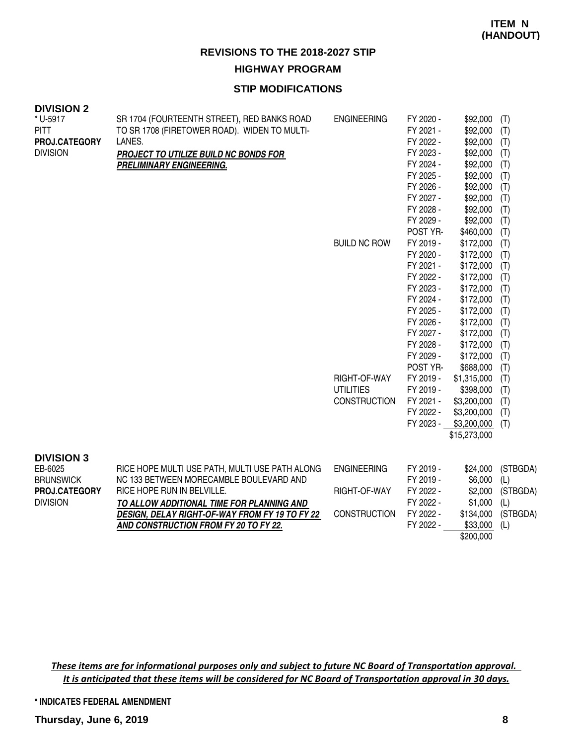### **STIP MODIFICATIONS**

| <b>DIVISION 2</b><br>* U-5917<br><b>PITT</b><br>PROJ.CATEGORY<br><b>DIVISION</b> | SR 1704 (FOURTEENTH STREET), RED BANKS ROAD<br>TO SR 1708 (FIRETOWER ROAD). WIDEN TO MULTI-<br>LANES.<br>PROJECT TO UTILIZE BUILD NC BONDS FOR<br>PRELIMINARY ENGINEERING. | <b>ENGINEERING</b>                                      | FY 2020 -<br>FY 2021 -<br>FY 2022 -<br>FY 2023 -<br>FY 2024 -<br>FY 2025 -<br>FY 2026 -<br>FY 2027 - | \$92,000<br>\$92,000<br>\$92,000<br>\$92,000<br>\$92,000<br>\$92,000<br>\$92,000<br>\$92,000                 | (T)<br>(T)<br>(T)<br>(T)<br>(T)<br>(T)<br>(T)<br>(T) |
|----------------------------------------------------------------------------------|----------------------------------------------------------------------------------------------------------------------------------------------------------------------------|---------------------------------------------------------|------------------------------------------------------------------------------------------------------|--------------------------------------------------------------------------------------------------------------|------------------------------------------------------|
|                                                                                  |                                                                                                                                                                            | <b>BUILD NC ROW</b>                                     | FY 2028 -<br>FY 2029 -<br>POST YR-<br>FY 2019 -<br>FY 2020 -<br>FY 2021 -<br>FY 2022 -               | \$92,000<br>\$92,000<br>\$460,000<br>\$172,000<br>\$172,000<br>\$172,000<br>\$172,000                        | (T)<br>(T)<br>(T)<br>(T)<br>(T)<br>(T)<br>(T)        |
|                                                                                  |                                                                                                                                                                            |                                                         | FY 2023 -<br>FY 2024 -<br>FY 2025 -<br>FY 2026 -<br>FY 2027 -                                        | \$172,000<br>\$172,000<br>\$172,000<br>\$172,000<br>\$172,000                                                | (T)<br>(T)<br>(T)<br>(T)<br>(T)                      |
|                                                                                  |                                                                                                                                                                            | RIGHT-OF-WAY<br><b>UTILITIES</b><br><b>CONSTRUCTION</b> | FY 2028 -<br>FY 2029 -<br>POST YR-<br>FY 2019 -<br>FY 2019 -<br>FY 2021 -<br>FY 2022 -<br>FY 2023 -  | \$172,000<br>\$172,000<br>\$688,000<br>\$1,315,000<br>\$398,000<br>\$3,200,000<br>\$3,200,000<br>\$3,200,000 | (T)<br>(T)<br>(T)<br>(T)<br>(T)<br>(T)<br>(T)<br>(T) |
| <b>DIVISION 3</b><br>EB-6025<br><b>BRUNSWICK</b><br>PROJ.CATEGORY                | RICE HOPE MULTI USE PATH, MULTI USE PATH ALONG<br>NC 133 BETWEEN MORECAMBLE BOULEVARD AND<br>RICE HOPE RUN IN BELVILLE.                                                    | <b>ENGINEERING</b><br>RIGHT-OF-WAY                      | FY 2019 -<br>FY 2019 -<br>FY 2022 -                                                                  | \$15,273,000<br>\$24,000<br>\$6,000<br>\$2,000                                                               | (STBGDA)<br>(L)<br>(STBGDA)                          |
| <b>DIVISION</b>                                                                  | TO ALLOW ADDITIONAL TIME FOR PLANNING AND<br>DESIGN, DELAY RIGHT-OF-WAY FROM FY 19 TO FY 22<br>AND CONSTRUCTION FROM FY 20 TO FY 22.                                       | CONSTRUCTION                                            | FY 2022 -<br>FY 2022 -<br>FY 2022 -                                                                  | \$1,000<br>\$134,000<br>\$33,000<br>\$200,000                                                                | (L)<br>(STBGDA)<br>(L)                               |

These items are for informational purposes only and subject to future NC Board of Transportation approval. It is anticipated that these items will be considered for NC Board of Transportation approval in 30 days.

**\* INDICATES FEDERAL AMENDMENT**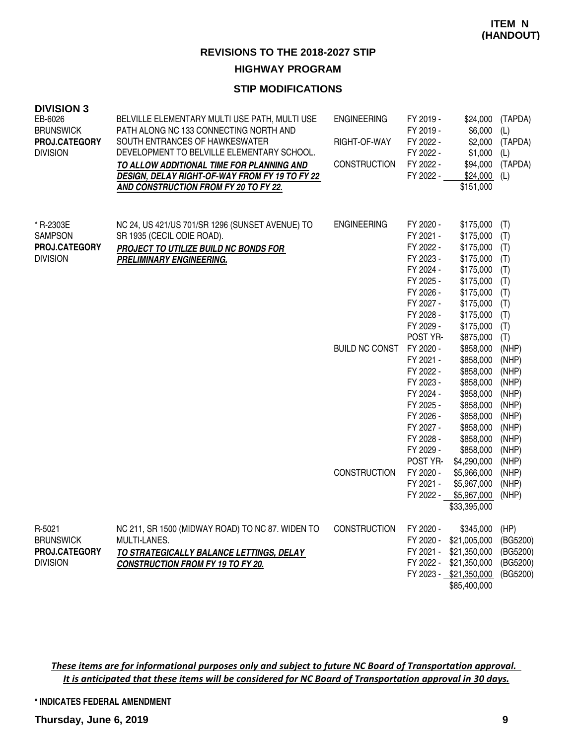## **STIP MODIFICATIONS**

| <b>DIVISION 3</b><br>EB-6026<br><b>BRUNSWICK</b><br>PROJ.CATEGORY<br><b>DIVISION</b> | BELVILLE ELEMENTARY MULTI USE PATH, MULTI USE<br>PATH ALONG NC 133 CONNECTING NORTH AND<br>SOUTH ENTRANCES OF HAWKESWATER<br>DEVELOPMENT TO BELVILLE ELEMENTARY SCHOOL.<br>TO ALLOW ADDITIONAL TIME FOR PLANNING AND<br><b>DESIGN, DELAY RIGHT-OF-WAY FROM FY 19 TO FY 22</b><br>AND CONSTRUCTION FROM FY 20 TO FY 22. | <b>ENGINEERING</b><br>RIGHT-OF-WAY<br><b>CONSTRUCTION</b> | FY 2019 -<br>FY 2019 -<br>FY 2022 -<br>FY 2022 -<br>FY 2022 -<br>FY 2022 -                                                                 | \$24,000<br>\$6,000<br>\$2,000<br>\$1,000<br>\$94,000<br>\$24,000<br>\$151,000                                                                | (TAPDA)<br>(L)<br>(TAPDA)<br>(L)<br>(TAPDA)<br>(L)                                              |
|--------------------------------------------------------------------------------------|------------------------------------------------------------------------------------------------------------------------------------------------------------------------------------------------------------------------------------------------------------------------------------------------------------------------|-----------------------------------------------------------|--------------------------------------------------------------------------------------------------------------------------------------------|-----------------------------------------------------------------------------------------------------------------------------------------------|-------------------------------------------------------------------------------------------------|
| * R-2303E<br><b>SAMPSON</b><br>PROJ.CATEGORY<br><b>DIVISION</b>                      | NC 24, US 421/US 701/SR 1296 (SUNSET AVENUE) TO<br>SR 1935 (CECIL ODIE ROAD).<br>PROJECT TO UTILIZE BUILD NC BONDS FOR<br><b>PRELIMINARY ENGINEERING.</b>                                                                                                                                                              | <b>ENGINEERING</b>                                        | FY 2020 -<br>FY 2021 -<br>FY 2022 -<br>FY 2023 -<br>FY 2024 -<br>FY 2025 -<br>FY 2026 -<br>FY 2027 -<br>FY 2028 -<br>FY 2029 -<br>POST YR- | \$175,000<br>\$175,000<br>\$175,000<br>\$175,000<br>\$175,000<br>\$175,000<br>\$175,000<br>\$175,000<br>\$175,000<br>\$175,000<br>\$875,000   | (T)<br>(T)<br>(T)<br>(T)<br>(T)<br>(T)<br>(T)<br>(T)<br>(T)<br>(T)<br>(T)                       |
|                                                                                      |                                                                                                                                                                                                                                                                                                                        | <b>BUILD NC CONST</b>                                     | FY 2020 -<br>FY 2021 -<br>FY 2022 -<br>FY 2023 -<br>FY 2024 -<br>FY 2025 -<br>FY 2026 -<br>FY 2027 -<br>FY 2028 -<br>FY 2029 -<br>POST YR- | \$858,000<br>\$858,000<br>\$858,000<br>\$858,000<br>\$858,000<br>\$858,000<br>\$858,000<br>\$858,000<br>\$858,000<br>\$858,000<br>\$4,290,000 | (NHP)<br>(NHP)<br>(NHP)<br>(NHP)<br>(NHP)<br>(NHP)<br>(NHP)<br>(NHP)<br>(NHP)<br>(NHP)<br>(NHP) |
|                                                                                      |                                                                                                                                                                                                                                                                                                                        | <b>CONSTRUCTION</b>                                       | FY 2020 -<br>FY 2021 -<br>FY 2022 -                                                                                                        | \$5,966,000<br>\$5,967,000<br>\$5,967,000<br>\$33,395,000                                                                                     | (NHP)<br>(NHP)<br>(NHP)                                                                         |
| R-5021<br><b>BRUNSWICK</b><br>PROJ.CATEGORY<br><b>DIVISION</b>                       | NC 211, SR 1500 (MIDWAY ROAD) TO NC 87. WIDEN TO<br>MULTI-LANES.<br>TO STRATEGICALLY BALANCE LETTINGS, DELAY<br><b>CONSTRUCTION FROM FY 19 TO FY 20.</b>                                                                                                                                                               | <b>CONSTRUCTION</b>                                       | FY 2020 -<br>FY 2020 -<br>FY 2021 -<br>FY 2022 -                                                                                           | \$345,000<br>\$21,005,000<br>\$21,350,000<br>\$21,350,000<br>FY 2023 - \$21,350,000<br>\$85,400,000                                           | (HP)<br>(BG5200)<br>(BG5200)<br>(BG5200)<br>(BG5200)                                            |

These items are for informational purposes only and subject to future NC Board of Transportation approval. It is anticipated that these items will be considered for NC Board of Transportation approval in 30 days.

#### **\* INDICATES FEDERAL AMENDMENT**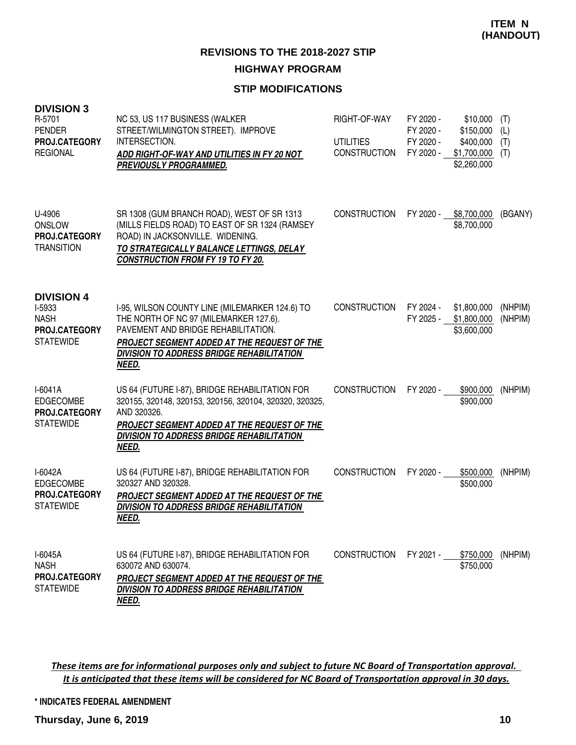## **STIP MODIFICATIONS**

| <b>DIVISION 3</b><br>R-5701<br><b>PENDER</b><br>PROJ.CATEGORY<br><b>REGIONAL</b> | NC 53, US 117 BUSINESS (WALKER<br>STREET/WILMINGTON STREET). IMPROVE<br>INTERSECTION.<br>ADD RIGHT-OF-WAY AND UTILITIES IN FY 20 NOT<br><b>PREVIOUSLY PROGRAMMED.</b>                                                                       | RIGHT-OF-WAY<br><b>UTILITIES</b><br><b>CONSTRUCTION</b> | FY 2020 -<br>FY 2020 -<br>FY 2020 -<br>FY 2020 - | \$10,000<br>\$150,000<br>\$400,000<br>\$1,700,000<br>\$2,260,000 | (T)<br>(L)<br>(T)<br>(T) |
|----------------------------------------------------------------------------------|---------------------------------------------------------------------------------------------------------------------------------------------------------------------------------------------------------------------------------------------|---------------------------------------------------------|--------------------------------------------------|------------------------------------------------------------------|--------------------------|
| U-4906<br><b>ONSLOW</b><br>PROJ.CATEGORY<br><b>TRANSITION</b>                    | SR 1308 (GUM BRANCH ROAD), WEST OF SR 1313<br>(MILLS FIELDS ROAD) TO EAST OF SR 1324 (RAMSEY<br>ROAD) IN JACKSONVILLE. WIDENING.<br>TO STRATEGICALLY BALANCE LETTINGS, DELAY<br><b>CONSTRUCTION FROM FY 19 TO FY 20.</b>                    | <b>CONSTRUCTION</b>                                     | FY 2020 -                                        | \$8,700,000<br>\$8,700,000                                       | (BGANY)                  |
| <b>DIVISION 4</b><br>I-5933<br><b>NASH</b><br>PROJ.CATEGORY<br><b>STATEWIDE</b>  | I-95, WILSON COUNTY LINE (MILEMARKER 124.6) TO<br>THE NORTH OF NC 97 (MILEMARKER 127.6).<br>PAVEMENT AND BRIDGE REHABILITATION.<br>PROJECT SEGMENT ADDED AT THE REQUEST OF THE<br><b>DIVISION TO ADDRESS BRIDGE REHABILITATION</b><br>NEED. | <b>CONSTRUCTION</b>                                     | FY 2024 -<br>FY 2025 -                           | \$1,800,000<br>\$1,800,000<br>\$3,600,000                        | (NHPIM)<br>(NHPIM)       |
| $I-6041A$<br><b>EDGECOMBE</b><br>PROJ.CATEGORY<br><b>STATEWIDE</b>               | US 64 (FUTURE I-87), BRIDGE REHABILITATION FOR<br>320155, 320148, 320153, 320156, 320104, 320320, 320325,<br>AND 320326.<br>PROJECT SEGMENT ADDED AT THE REQUEST OF THE<br><b>DIVISION TO ADDRESS BRIDGE REHABILITATION</b><br>NEED.        | <b>CONSTRUCTION</b>                                     | FY 2020 -                                        | \$900,000<br>\$900,000                                           | (NHPIM)                  |
| I-6042A<br><b>EDGECOMBE</b><br>PROJ.CATEGORY<br><b>STATEWIDE</b>                 | US 64 (FUTURE I-87), BRIDGE REHABILITATION FOR<br>320327 AND 320328.<br>PROJECT SEGMENT ADDED AT THE REQUEST OF THE<br>DIVISION TO ADDRESS BRIDGE REHABILITATION<br>NEED.                                                                   | <b>CONSTRUCTION</b>                                     | FY 2020 -                                        | \$500,000<br>\$500,000                                           | (NHPIM)                  |
| I-6045A<br><b>NASH</b><br>PROJ.CATEGORY<br><b>STATEWIDE</b>                      | US 64 (FUTURE I-87), BRIDGE REHABILITATION FOR<br>630072 AND 630074.<br>PROJECT SEGMENT ADDED AT THE REQUEST OF THE<br><b>DIVISION TO ADDRESS BRIDGE REHABILITATION</b><br>NEED.                                                            | <b>CONSTRUCTION</b>                                     | FY 2021 -                                        | \$750,000<br>\$750,000                                           | (NHPIM)                  |

These items are for informational purposes only and subject to future NC Board of Transportation approval. It is anticipated that these items will be considered for NC Board of Transportation approval in 30 days.

**\* INDICATES FEDERAL AMENDMENT**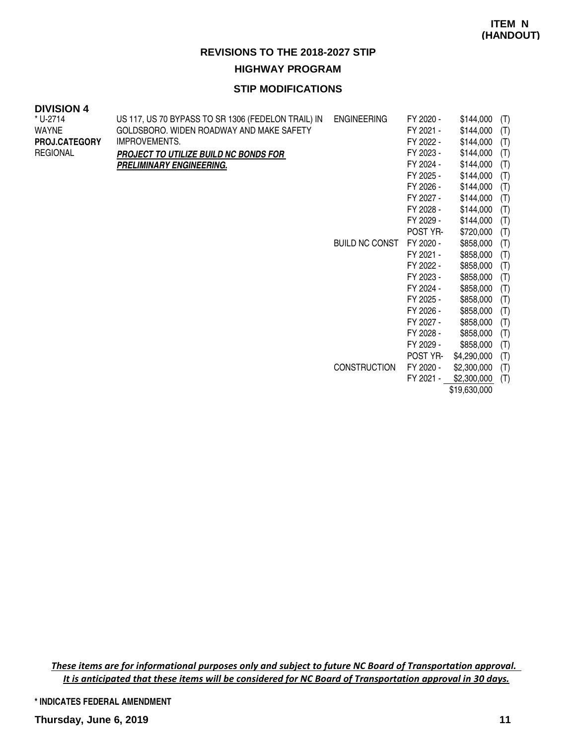### **STIP MODIFICATIONS**

| <b>DIVISION 4</b> |  |
|-------------------|--|
|-------------------|--|

| * U-2714        | US 117, US 70 BYPASS TO SR 1306 (FEDELON TRAIL) IN | <b>ENGINEERING</b>    | FY 2020 - | \$144,000   | (T) |
|-----------------|----------------------------------------------------|-----------------------|-----------|-------------|-----|
| <b>WAYNE</b>    | GOLDSBORO. WIDEN ROADWAY AND MAKE SAFETY           |                       | FY 2021 - | \$144,000   | (T) |
| PROJ.CATEGORY   | IMPROVEMENTS.                                      |                       | FY 2022 - | \$144,000   | (T) |
| <b>REGIONAL</b> | PROJECT TO UTILIZE BUILD NC BONDS FOR              |                       | FY 2023 - | \$144,000   | (T) |
|                 | PRELIMINARY ENGINEERING.                           |                       | FY 2024 - | \$144,000   | (T) |
|                 |                                                    |                       | FY 2025 - | \$144,000   | (T) |
|                 |                                                    |                       | FY 2026 - | \$144,000   | (T) |
|                 |                                                    |                       | FY 2027 - | \$144,000   | (T) |
|                 |                                                    |                       | FY 2028 - | \$144,000   | (T) |
|                 |                                                    |                       | FY 2029 - | \$144,000   | (T) |
|                 |                                                    |                       | POST YR-  | \$720,000   | (T) |
|                 |                                                    | <b>BUILD NC CONST</b> | FY 2020 - | \$858,000   | (T) |
|                 |                                                    |                       | FY 2021 - | \$858,000   | (T) |
|                 |                                                    |                       | FY 2022 - | \$858,000   | (T) |
|                 |                                                    |                       | FY 2023 - | \$858,000   | (T) |
|                 |                                                    |                       | FY 2024 - | \$858,000   | (T) |
|                 |                                                    |                       | FY 2025 - | \$858,000   | (T) |
|                 |                                                    |                       | FY 2026 - | \$858,000   | (T) |
|                 |                                                    |                       | FY 2027 - | \$858,000   | (T) |
|                 |                                                    |                       | FY 2028 - | \$858,000   | (T) |
|                 |                                                    |                       | FY 2029 - | \$858,000   | (T) |
|                 |                                                    |                       | POST YR-  | \$4,290,000 | (T) |

CONSTRUCTION FY 2020 - \$2,300,000 (T)

FY 2021 - \$2,300,000 (T) \$19,630,000

These items are for informational purposes only and subject to future NC Board of Transportation approval. It is anticipated that these items will be considered for NC Board of Transportation approval in 30 days.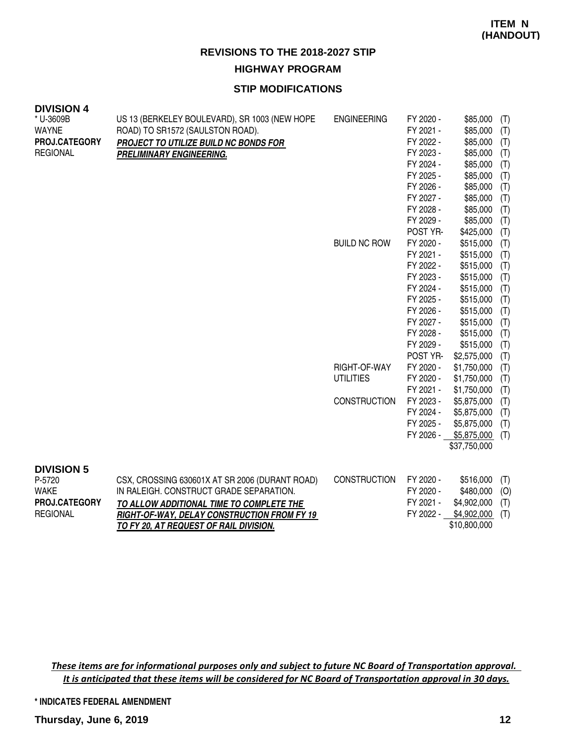### **STIP MODIFICATIONS**

| <b>DIVISION 4</b><br>* U-3609B | US 13 (BERKELEY BOULEVARD), SR 1003 (NEW HOPE  | <b>ENGINEERING</b>  | FY 2020 - | \$85,000     | (T) |
|--------------------------------|------------------------------------------------|---------------------|-----------|--------------|-----|
| <b>WAYNE</b>                   | ROAD) TO SR1572 (SAULSTON ROAD).               |                     | FY 2021 - | \$85,000     | (T) |
| PROJ.CATEGORY                  | PROJECT TO UTILIZE BUILD NC BONDS FOR          |                     | FY 2022 - | \$85,000     | (T) |
| <b>REGIONAL</b>                | PRELIMINARY ENGINEERING.                       |                     | FY 2023 - | \$85,000     | (T) |
|                                |                                                |                     | FY 2024 - | \$85,000     | (T) |
|                                |                                                |                     | FY 2025 - | \$85,000     | (T) |
|                                |                                                |                     | FY 2026 - | \$85,000     | (T) |
|                                |                                                |                     | FY 2027 - | \$85,000     | (T) |
|                                |                                                |                     | FY 2028 - | \$85,000     | (T) |
|                                |                                                |                     | FY 2029 - | \$85,000     | (T) |
|                                |                                                |                     | POST YR-  | \$425,000    | (T) |
|                                |                                                | <b>BUILD NC ROW</b> | FY 2020 - | \$515,000    | (T) |
|                                |                                                |                     | FY 2021 - | \$515,000    | (T) |
|                                |                                                |                     | FY 2022 - | \$515,000    | (T) |
|                                |                                                |                     | FY 2023 - | \$515,000    | (T) |
|                                |                                                |                     | FY 2024 - | \$515,000    | (T) |
|                                |                                                |                     | FY 2025 - | \$515,000    | (T) |
|                                |                                                |                     | FY 2026 - | \$515,000    | (T) |
|                                |                                                |                     | FY 2027 - | \$515,000    | (T) |
|                                |                                                |                     | FY 2028 - | \$515,000    | (T) |
|                                |                                                |                     | FY 2029 - | \$515,000    | (T) |
|                                |                                                |                     | POST YR-  | \$2,575,000  | (T) |
|                                |                                                | RIGHT-OF-WAY        | FY 2020 - | \$1,750,000  | (T) |
|                                |                                                | <b>UTILITIES</b>    | FY 2020 - | \$1,750,000  | (T) |
|                                |                                                |                     | FY 2021 - | \$1,750,000  | (T) |
|                                |                                                | <b>CONSTRUCTION</b> | FY 2023 - | \$5,875,000  | (T) |
|                                |                                                |                     | FY 2024 - | \$5,875,000  | (T) |
|                                |                                                |                     | FY 2025 - | \$5,875,000  | (T) |
|                                |                                                |                     | FY 2026 - | \$5,875,000  | (T) |
|                                |                                                |                     |           | \$37,750,000 |     |
|                                |                                                |                     |           |              |     |
| <b>DIVISION 5</b>              |                                                |                     |           |              |     |
| P-5720                         | CSX, CROSSING 630601X AT SR 2006 (DURANT ROAD) | <b>CONSTRUCTION</b> | FY 2020 - | \$516,000    | (T) |
| <b>WAKE</b>                    | IN RALEIGH. CONSTRUCT GRADE SEPARATION.        |                     | FY 2020 - | \$480,000    | (O) |
| PROJ.CATEGORY                  | TO ALLOW ADDITIONAL TIME TO COMPLETE THE       |                     | FY 2021 - | \$4,902,000  | (T) |
| <b>REGIONAL</b>                | RIGHT-OF-WAY, DELAY CONSTRUCTION FROM FY 19    |                     | FY 2022 - | \$4,902,000  | (T) |
|                                | TO FY 20, AT REQUEST OF RAIL DIVISION.         |                     |           | \$10,800,000 |     |

These items are for informational purposes only and subject to future NC Board of Transportation approval. It is anticipated that these items will be considered for NC Board of Transportation approval in 30 days.

**\* INDICATES FEDERAL AMENDMENT**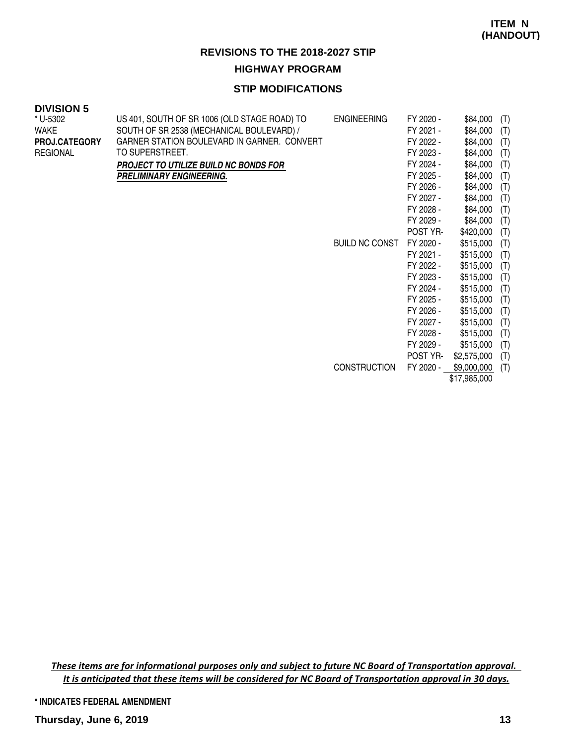#### **STIP MODIFICATIONS**

#### **DIVISION 5**

| * U-5302             | US 401, SOUTH OF SR 1006 (OLD STAGE ROAD) TO | <b>ENGINEERING</b>    | FY 2020 -       | \$84,000    | (T) |
|----------------------|----------------------------------------------|-----------------------|-----------------|-------------|-----|
| WAKE                 | SOUTH OF SR 2538 (MECHANICAL BOULEVARD) /    |                       | FY 2021 -       | \$84,000    | (T) |
| <b>PROJ.CATEGORY</b> | GARNER STATION BOULEVARD IN GARNER. CONVERT  |                       | FY 2022 -       | \$84,000    | (T) |
| REGIONAL             | TO SUPERSTREET.                              |                       | FY 2023 -       | \$84,000    | (T) |
|                      | PROJECT TO UTILIZE BUILD NC BONDS FOR        |                       | FY 2024 -       | \$84,000    | (T) |
|                      | PRELIMINARY ENGINEERING.                     |                       | FY 2025 -       | \$84,000    | (T) |
|                      |                                              |                       | FY 2026 -       | \$84,000    | (T) |
|                      |                                              |                       | FY 2027 -       | \$84,000    | (T) |
|                      |                                              |                       | FY 2028 -       | \$84,000    | (T) |
|                      |                                              |                       | FY 2029 -       | \$84,000    | (T) |
|                      |                                              |                       | <b>POST YR-</b> | \$420,000   | (T) |
|                      |                                              | <b>BUILD NC CONST</b> | FY 2020 -       | \$515,000   | (T) |
|                      |                                              |                       | FY 2021 -       | \$515,000   | (T) |
|                      |                                              |                       | FY 2022 -       | \$515,000   | (T) |
|                      |                                              |                       | FY 2023 -       | \$515,000   | (T) |
|                      |                                              |                       | FY 2024 -       | \$515,000   | (T) |
|                      |                                              |                       | FY 2025 -       | \$515,000   | (T) |
|                      |                                              |                       | FY 2026 -       | \$515,000   | (T) |
|                      |                                              |                       | FY 2027 -       | \$515,000   | (T) |
|                      |                                              |                       | FY 2028 -       | \$515,000   | (T) |
|                      |                                              |                       | FY 2029 -       | \$515,000   | (T) |
|                      |                                              |                       | <b>POST YR-</b> | \$2,575,000 | (T) |
|                      |                                              | <b>CONSTRUCTION</b>   | FY 2020 -       | \$9,000,000 | (T) |
|                      |                                              |                       |                 |             |     |

\$17,985,000

These items are for informational purposes only and subject to future NC Board of Transportation approval. It is anticipated that these items will be considered for NC Board of Transportation approval in 30 days.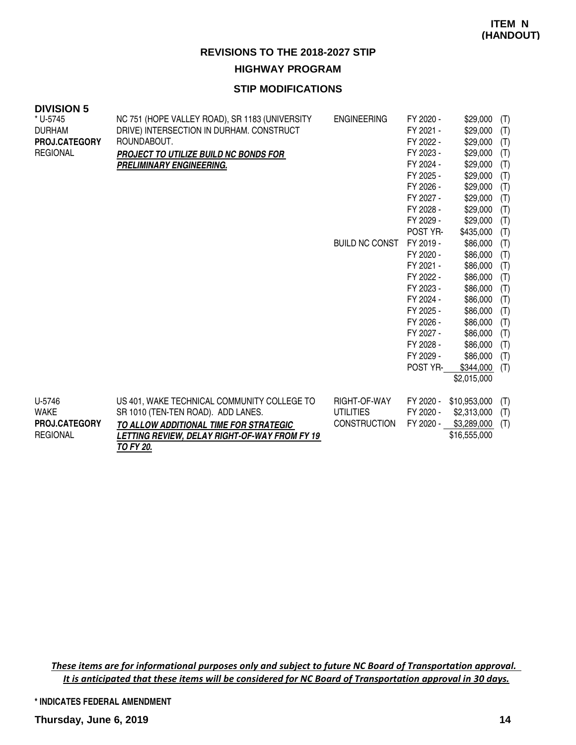### **STIP MODIFICATIONS**

| <b>DIVISION 5</b>    |                                                      |                       |           |              |     |
|----------------------|------------------------------------------------------|-----------------------|-----------|--------------|-----|
| * U-5745             | NC 751 (HOPE VALLEY ROAD), SR 1183 (UNIVERSITY       | <b>ENGINEERING</b>    | FY 2020 - | \$29,000     | (T) |
| <b>DURHAM</b>        | DRIVE) INTERSECTION IN DURHAM. CONSTRUCT             |                       | FY 2021 - | \$29,000     | (T) |
| PROJ.CATEGORY        | ROUNDABOUT.                                          |                       | FY 2022 - | \$29,000     | (T) |
| <b>REGIONAL</b>      | PROJECT TO UTILIZE BUILD NC BONDS FOR                |                       | FY 2023 - | \$29,000     | (T) |
|                      | PRELIMINARY ENGINEERING.                             |                       | FY 2024 - | \$29,000     | (T) |
|                      |                                                      |                       | FY 2025 - | \$29,000     | (T) |
|                      |                                                      |                       | FY 2026 - | \$29,000     | (T) |
|                      |                                                      |                       | FY 2027 - | \$29,000     | (T) |
|                      |                                                      |                       | FY 2028 - | \$29,000     | (T) |
|                      |                                                      |                       | FY 2029 - | \$29,000     | (T) |
|                      |                                                      |                       | POST YR-  | \$435,000    | (T) |
|                      |                                                      | <b>BUILD NC CONST</b> | FY 2019 - | \$86,000     | (T) |
|                      |                                                      |                       | FY 2020 - | \$86,000     | (T) |
|                      |                                                      |                       | FY 2021 - | \$86,000     | (T) |
|                      |                                                      |                       | FY 2022 - | \$86,000     | (T) |
|                      |                                                      |                       | FY 2023 - | \$86,000     | (T) |
|                      |                                                      |                       | FY 2024 - | \$86,000     | (T) |
|                      |                                                      |                       | FY 2025 - | \$86,000     | (T) |
|                      |                                                      |                       | FY 2026 - | \$86,000     | (T) |
|                      |                                                      |                       | FY 2027 - | \$86,000     | (T) |
|                      |                                                      |                       | FY 2028 - | \$86,000     | (T) |
|                      |                                                      |                       | FY 2029 - | \$86,000     | (T) |
|                      |                                                      |                       | POST YR-  | \$344,000    | (T) |
|                      |                                                      |                       |           | \$2,015,000  |     |
| U-5746               | US 401, WAKE TECHNICAL COMMUNITY COLLEGE TO          | RIGHT-OF-WAY          | FY 2020 - | \$10,953,000 | (T) |
| <b>WAKE</b>          | SR 1010 (TEN-TEN ROAD). ADD LANES.                   | <b>UTILITIES</b>      | FY 2020 - | \$2,313,000  | (T) |
| <b>PROJ.CATEGORY</b> | TO ALLOW ADDITIONAL TIME FOR STRATEGIC               | <b>CONSTRUCTION</b>   | FY 2020 - | \$3,289,000  | (T) |
| <b>REGIONAL</b>      | <b>LETTING REVIEW, DELAY RIGHT-OF-WAY FROM FY 19</b> |                       |           | \$16,555,000 |     |
|                      | <b>TO FY 20.</b>                                     |                       |           |              |     |

These items are for informational purposes only and subject to future NC Board of Transportation approval. It is anticipated that these items will be considered for NC Board of Transportation approval in 30 days.

**\* INDICATES FEDERAL AMENDMENT**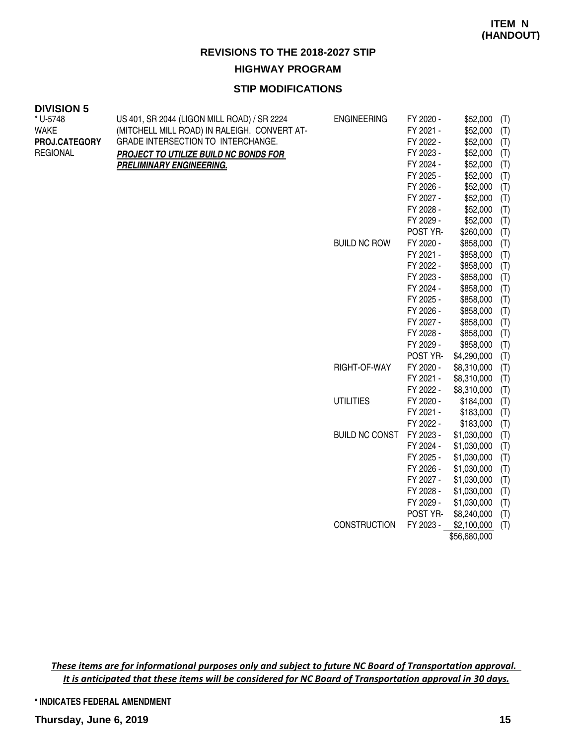### **STIP MODIFICATIONS**

| <b>DIVISION 5</b> |                                              |                       |           |             |     |
|-------------------|----------------------------------------------|-----------------------|-----------|-------------|-----|
| * U-5748          | US 401, SR 2044 (LIGON MILL ROAD) / SR 2224  | <b>ENGINEERING</b>    | FY 2020 - | \$52,000    | (T) |
| <b>WAKE</b>       | (MITCHELL MILL ROAD) IN RALEIGH. CONVERT AT- |                       | FY 2021 - | \$52,000    | (T) |
| PROJ.CATEGORY     | GRADE INTERSECTION TO INTERCHANGE.           |                       | FY 2022 - | \$52,000    | (T) |
| <b>REGIONAL</b>   | PROJECT TO UTILIZE BUILD NC BONDS FOR        |                       | FY 2023 - | \$52,000    | (T) |
|                   | PRELIMINARY ENGINEERING.                     |                       | FY 2024 - | \$52,000    | (T) |
|                   |                                              |                       | FY 2025 - | \$52,000    | (T) |
|                   |                                              |                       | FY 2026 - | \$52,000    | (T) |
|                   |                                              |                       | FY 2027 - | \$52,000    | (T) |
|                   |                                              |                       | FY 2028 - | \$52,000    | (T) |
|                   |                                              |                       | FY 2029 - | \$52,000    | (T) |
|                   |                                              |                       | POST YR-  | \$260,000   | (T) |
|                   |                                              | <b>BUILD NC ROW</b>   | FY 2020 - | \$858,000   | (T) |
|                   |                                              |                       | FY 2021 - | \$858,000   | (T) |
|                   |                                              |                       | FY 2022 - | \$858,000   | (T) |
|                   |                                              |                       | FY 2023 - | \$858,000   | (T) |
|                   |                                              |                       | FY 2024 - | \$858,000   | (T) |
|                   |                                              |                       | FY 2025 - | \$858,000   | (T) |
|                   |                                              |                       | FY 2026 - | \$858,000   | (T) |
|                   |                                              |                       | FY 2027 - | \$858,000   | (T) |
|                   |                                              |                       | FY 2028 - | \$858,000   | (T) |
|                   |                                              |                       | FY 2029 - | \$858,000   | (T) |
|                   |                                              |                       | POST YR-  | \$4,290,000 | (T) |
|                   |                                              | RIGHT-OF-WAY          | FY 2020 - | \$8,310,000 | (T) |
|                   |                                              |                       | FY 2021 - | \$8,310,000 | (T) |
|                   |                                              |                       | FY 2022 - | \$8,310,000 | (T) |
|                   |                                              | <b>UTILITIES</b>      | FY 2020 - | \$184,000   | (T) |
|                   |                                              |                       | FY 2021 - | \$183,000   | (T) |
|                   |                                              |                       | FY 2022 - | \$183,000   | (T) |
|                   |                                              | <b>BUILD NC CONST</b> | FY 2023 - | \$1,030,000 | (T) |
|                   |                                              |                       | FY 2024 - | \$1,030,000 | (T) |
|                   |                                              |                       | FY 2025 - | \$1,030,000 | (T) |
|                   |                                              |                       | FY 2026 - | \$1,030,000 | (T) |
|                   |                                              |                       | FY 2027 - | \$1,030,000 | (T) |
|                   |                                              |                       | FY 2028 - | \$1,030,000 | (T) |
|                   |                                              |                       | FY 2029 - | \$1,030,000 | (T) |
|                   |                                              |                       | POST YR-  | \$8,240,000 | (T) |

CONSTRUCTION FY 2023 - \$2,100,000 (T)

\$56,680,000

These items are for informational purposes only and subject to future NC Board of Transportation approval. It is anticipated that these items will be considered for NC Board of Transportation approval in 30 days.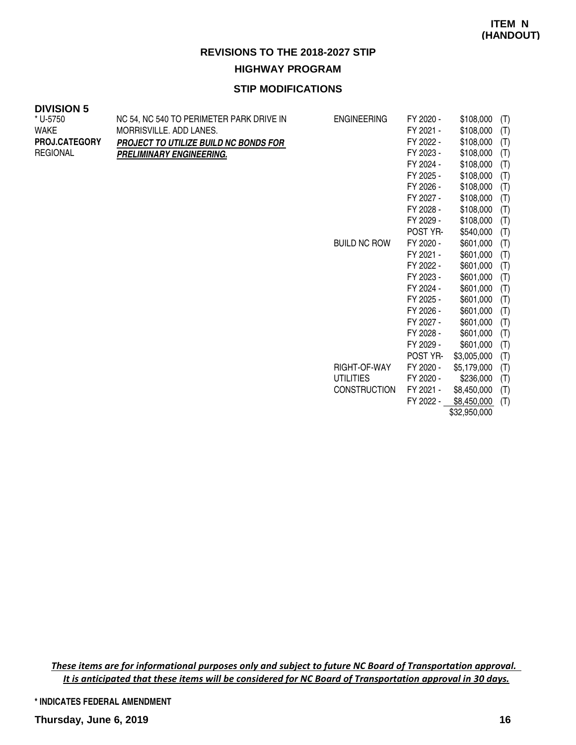## **STIP MODIFICATIONS**

| <b>DIVISION 5</b> |                                          |                     |           |             |     |
|-------------------|------------------------------------------|---------------------|-----------|-------------|-----|
| * U-5750          | NC 54, NC 540 TO PERIMETER PARK DRIVE IN | <b>ENGINEERING</b>  | FY 2020 - | \$108,000   | (T) |
| <b>WAKE</b>       | MORRISVILLE. ADD LANES.                  |                     | FY 2021 - | \$108,000   | (T) |
| PROJ.CATEGORY     | PROJECT TO UTILIZE BUILD NC BONDS FOR    |                     | FY 2022 - | \$108,000   | (T) |
| <b>REGIONAL</b>   | PRELIMINARY ENGINEERING.                 |                     | FY 2023 - | \$108,000   | (T) |
|                   |                                          |                     | FY 2024 - | \$108,000   | (T) |
|                   |                                          |                     | FY 2025 - | \$108,000   | (T) |
|                   |                                          |                     | FY 2026 - | \$108,000   | (T) |
|                   |                                          |                     | FY 2027 - | \$108,000   | (T) |
|                   |                                          |                     | FY 2028 - | \$108,000   | (T) |
|                   |                                          |                     | FY 2029 - | \$108,000   | (T) |
|                   |                                          |                     | POST YR-  | \$540,000   | (T) |
|                   |                                          | <b>BUILD NC ROW</b> | FY 2020 - | \$601,000   | (T) |
|                   |                                          |                     | FY 2021 - | \$601,000   | (T) |
|                   |                                          |                     | FY 2022 - | \$601,000   | (T) |
|                   |                                          |                     | FY 2023 - | \$601,000   | (T) |
|                   |                                          |                     | FY 2024 - | \$601,000   | (T) |
|                   |                                          |                     | FY 2025 - | \$601,000   | (T) |
|                   |                                          |                     | FY 2026 - | \$601,000   | (T) |
|                   |                                          |                     | FY 2027 - | \$601,000   | (T) |
|                   |                                          |                     | FY 2028 - | \$601,000   | (T) |
|                   |                                          |                     | FY 2029 - | \$601,000   | (T) |
|                   |                                          |                     | POST YR-  | \$3,005,000 | (T) |
|                   |                                          | RIGHT-OF-WAY        | FY 2020 - | \$5,179,000 | (T) |
|                   |                                          | <b>UTILITIES</b>    | FY 2020 - | \$236,000   | (T) |

 $FY$  2022 - \$8,450,000  $(T)$ \$32,950,000

CONSTRUCTION FY 2021 - \$8,450,000 (T)

These items are for informational purposes only and subject to future NC Board of Transportation approval. It is anticipated that these items will be considered for NC Board of Transportation approval in 30 days.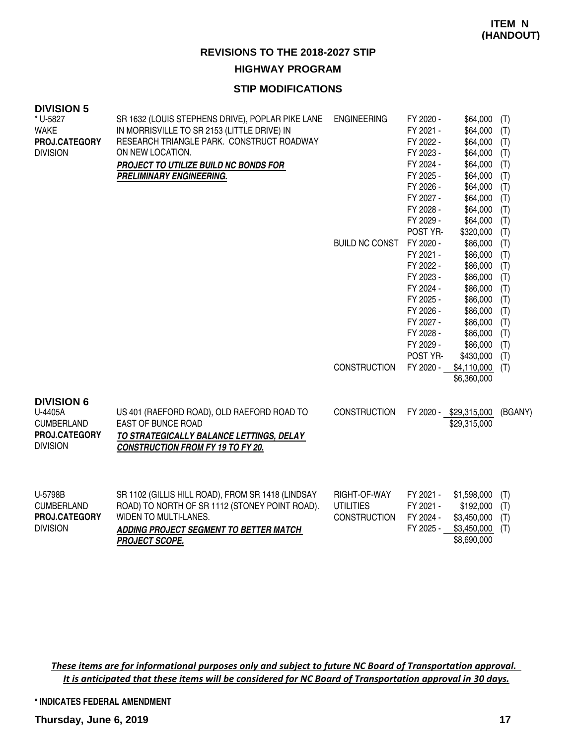#### **STIP MODIFICATIONS**

| <b>DIVISION 5</b>                                                                     |                                                                                                                                                                                                                                              |                                                  |                                                                                                      |                                                                                              |                                                      |
|---------------------------------------------------------------------------------------|----------------------------------------------------------------------------------------------------------------------------------------------------------------------------------------------------------------------------------------------|--------------------------------------------------|------------------------------------------------------------------------------------------------------|----------------------------------------------------------------------------------------------|------------------------------------------------------|
| * U-5827<br><b>WAKE</b><br>PROJ.CATEGORY<br><b>DIVISION</b>                           | SR 1632 (LOUIS STEPHENS DRIVE), POPLAR PIKE LANE<br>IN MORRISVILLE TO SR 2153 (LITTLE DRIVE) IN<br>RESEARCH TRIANGLE PARK. CONSTRUCT ROADWAY<br>ON NEW LOCATION.<br>PROJECT TO UTILIZE BUILD NC BONDS FOR<br><b>PRELIMINARY ENGINEERING.</b> | <b>ENGINEERING</b>                               | FY 2020 -<br>FY 2021 -<br>FY 2022 -<br>FY 2023 -<br>FY 2024 -<br>FY 2025 -<br>FY 2026 -<br>FY 2027 - | \$64,000<br>\$64,000<br>\$64,000<br>\$64,000<br>\$64,000<br>\$64,000<br>\$64,000<br>\$64,000 | (T)<br>(T)<br>(T)<br>(T)<br>(T)<br>(T)<br>(T)<br>(T) |
|                                                                                       |                                                                                                                                                                                                                                              |                                                  | FY 2028 -                                                                                            | \$64,000                                                                                     | (T)                                                  |
|                                                                                       |                                                                                                                                                                                                                                              |                                                  | FY 2029 -                                                                                            | \$64,000                                                                                     | (T)                                                  |
|                                                                                       |                                                                                                                                                                                                                                              |                                                  | POST YR-                                                                                             | \$320,000                                                                                    | (T)                                                  |
|                                                                                       |                                                                                                                                                                                                                                              | <b>BUILD NC CONST</b>                            | FY 2020 -<br>FY 2021 -                                                                               | \$86,000                                                                                     | (T)                                                  |
|                                                                                       |                                                                                                                                                                                                                                              |                                                  | FY 2022 -                                                                                            | \$86,000<br>\$86,000                                                                         | (T)<br>(T)                                           |
|                                                                                       |                                                                                                                                                                                                                                              |                                                  | FY 2023 -                                                                                            | \$86,000                                                                                     | (T)                                                  |
|                                                                                       |                                                                                                                                                                                                                                              |                                                  | FY 2024 -                                                                                            | \$86,000                                                                                     | (T)                                                  |
|                                                                                       |                                                                                                                                                                                                                                              |                                                  | FY 2025 -                                                                                            | \$86,000                                                                                     | (T)                                                  |
|                                                                                       |                                                                                                                                                                                                                                              |                                                  | FY 2026 -                                                                                            | \$86,000                                                                                     | (T)                                                  |
|                                                                                       |                                                                                                                                                                                                                                              |                                                  | FY 2027 -                                                                                            | \$86,000                                                                                     | (T)                                                  |
|                                                                                       |                                                                                                                                                                                                                                              |                                                  | FY 2028 -                                                                                            | \$86,000                                                                                     | (T)                                                  |
|                                                                                       |                                                                                                                                                                                                                                              |                                                  | FY 2029 -                                                                                            | \$86,000                                                                                     | (T)                                                  |
|                                                                                       |                                                                                                                                                                                                                                              |                                                  | POST YR-                                                                                             | \$430,000                                                                                    | (T)                                                  |
|                                                                                       |                                                                                                                                                                                                                                              | <b>CONSTRUCTION</b>                              | FY 2020 -                                                                                            | \$4,110,000<br>\$6,360,000                                                                   | (T)                                                  |
|                                                                                       |                                                                                                                                                                                                                                              |                                                  |                                                                                                      |                                                                                              |                                                      |
| <b>DIVISION 6</b><br>U-4405A<br><b>CUMBERLAND</b><br>PROJ.CATEGORY<br><b>DIVISION</b> | US 401 (RAEFORD ROAD), OLD RAEFORD ROAD TO<br>EAST OF BUNCE ROAD<br>TO STRATEGICALLY BALANCE LETTINGS, DELAY<br><b>CONSTRUCTION FROM FY 19 TO FY 20.</b>                                                                                     | <b>CONSTRUCTION</b>                              |                                                                                                      | FY 2020 - \$29,315,000<br>\$29,315,000                                                       | (BGANY)                                              |
| U-5798B<br><b>CUMBERLAND</b><br>PROJ.CATEGORY<br><b>DIVISION</b>                      | SR 1102 (GILLIS HILL ROAD), FROM SR 1418 (LINDSAY<br>ROAD) TO NORTH OF SR 1112 (STONEY POINT ROAD).<br>WIDEN TO MULTI-LANES.<br>ADDING PROJECT SEGMENT TO BETTER MATCH                                                                       | RIGHT-OF-WAY<br><b>UTILITIES</b><br>CONSTRUCTION | FY 2021 -<br>FY 2021 -<br>FY 2024 -<br>FY 2025 -                                                     | \$1,598,000<br>\$192,000<br>\$3,450,000<br>\$3,450,000                                       | (T)<br>(T)<br>(T)<br>(T)                             |

\$8,690,000

These items are for informational purposes only and subject to future NC Board of Transportation approval. It is anticipated that these items will be considered for NC Board of Transportation approval in 30 days.

**\* INDICATES FEDERAL AMENDMENT**

**PROJECT SCOPE.**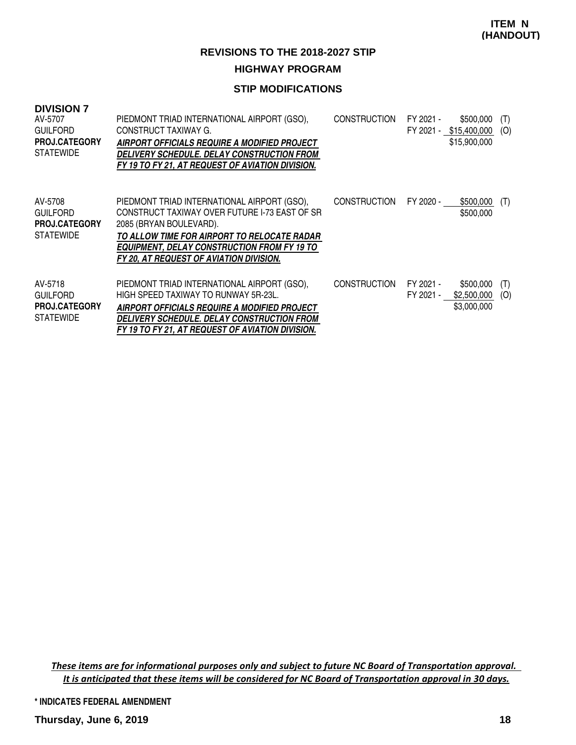### **STIP MODIFICATIONS**

| <b>DIVISION 7</b><br>AV-5707<br><b>GUILFORD</b><br>PROJ.CATEGORY<br><b>STATEWIDE</b> | PIEDMONT TRIAD INTERNATIONAL AIRPORT (GSO),<br>CONSTRUCT TAXIWAY G.<br>AIRPORT OFFICIALS REQUIRE A MODIFIED PROJECT<br>DELIVERY SCHEDULE. DELAY CONSTRUCTION FROM<br>FY 19 TO FY 21, AT REQUEST OF AVIATION DIVISION.                                                   | <b>CONSTRUCTION</b> | FY 2021 -              | \$500,000<br>FY 2021 - \$15,400,000<br>\$15,900,000 | (T)<br>(O) |
|--------------------------------------------------------------------------------------|-------------------------------------------------------------------------------------------------------------------------------------------------------------------------------------------------------------------------------------------------------------------------|---------------------|------------------------|-----------------------------------------------------|------------|
| AV-5708<br><b>GUILFORD</b><br><b>PROJ.CATEGORY</b><br><b>STATEWIDE</b>               | PIEDMONT TRIAD INTERNATIONAL AIRPORT (GSO),<br>CONSTRUCT TAXIWAY OVER FUTURE I-73 EAST OF SR<br>2085 (BRYAN BOULEVARD).<br>TO ALLOW TIME FOR AIRPORT TO RELOCATE RADAR<br><b>EQUIPMENT, DELAY CONSTRUCTION FROM FY 19 TO</b><br>FY 20, AT REQUEST OF AVIATION DIVISION. | <b>CONSTRUCTION</b> | FY 2020 -              | \$500,000<br>\$500,000                              | (1)        |
| AV-5718<br><b>GUILFORD</b><br><b>PROJ.CATEGORY</b><br><b>STATEWIDE</b>               | PIEDMONT TRIAD INTERNATIONAL AIRPORT (GSO),<br>HIGH SPEED TAXIWAY TO RUNWAY 5R-23L.<br>AIRPORT OFFICIALS REQUIRE A MODIFIED PROJECT<br>DELIVERY SCHEDULE. DELAY CONSTRUCTION FROM<br>FY 19 TO FY 21. AT REQUEST OF AVIATION DIVISION.                                   | <b>CONSTRUCTION</b> | FY 2021 -<br>FY 2021 - | \$500,000<br>\$2,500,000<br>\$3,000,000             | (T)<br>(O) |

These items are for informational purposes only and subject to future NC Board of Transportation approval. It is anticipated that these items will be considered for NC Board of Transportation approval in 30 days.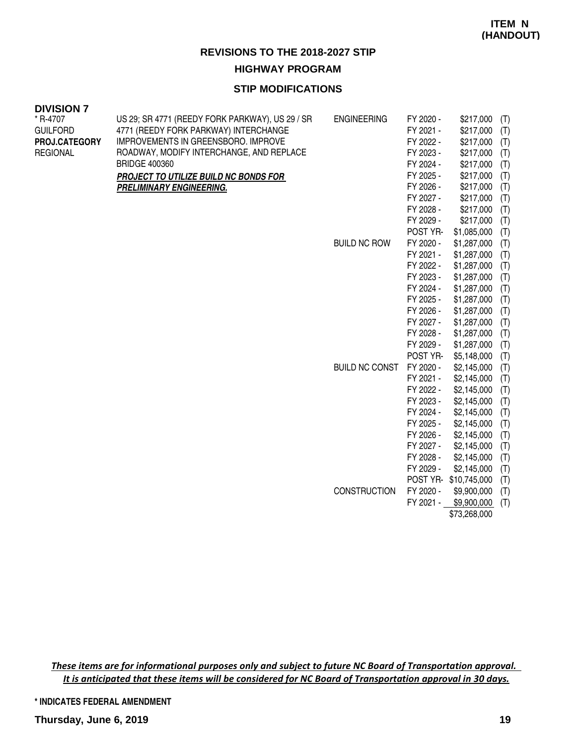### **STIP MODIFICATIONS**

| <b>DIVISION 7</b> |  |
|-------------------|--|
| * R-4707          |  |

| ו וטוטוע<br>* R-4707<br><b>GUILFORD</b><br>PROJ.CATEGORY<br><b>REGIONAL</b> | US 29; SR 4771 (REEDY FORK PARKWAY), US 29 / SR<br>4771 (REEDY FORK PARKWAY) INTERCHANGE<br>IMPROVEMENTS IN GREENSBORO. IMPROVE<br>ROADWAY, MODIFY INTERCHANGE, AND REPLACE<br><b>BRIDGE 400360</b><br>PROJECT TO UTILIZE BUILD NC BONDS FOR<br>PRELIMINARY ENGINEERING. | <b>ENGINEERING</b>  | FY 2020 -<br>FY 2021 -<br>FY 2022 -<br>FY 2023 -<br>FY 2024 -<br>FY 2025 -<br>FY 2026 -<br>FY 2027 -<br>FY 2028 -<br>FY 2029 - | \$217,000<br>\$217,000<br>\$217,000<br>\$217,000<br>\$217,000<br>\$217,000<br>\$217,000<br>\$217,000<br>\$217,000<br>\$217,000 | (T)<br>(T)<br>(T)<br>(T)<br>(T)<br>(T)<br>(T)<br>(T)<br>(T)<br>(T) |
|-----------------------------------------------------------------------------|--------------------------------------------------------------------------------------------------------------------------------------------------------------------------------------------------------------------------------------------------------------------------|---------------------|--------------------------------------------------------------------------------------------------------------------------------|--------------------------------------------------------------------------------------------------------------------------------|--------------------------------------------------------------------|
|                                                                             |                                                                                                                                                                                                                                                                          |                     | POST YR-                                                                                                                       | \$1,085,000                                                                                                                    | (T)                                                                |
|                                                                             |                                                                                                                                                                                                                                                                          | <b>BUILD NC ROW</b> | FY 2020 -                                                                                                                      | \$1,287,000                                                                                                                    | (T)                                                                |
|                                                                             |                                                                                                                                                                                                                                                                          |                     | FY 2021 -                                                                                                                      | \$1,287,000                                                                                                                    | (T)                                                                |
|                                                                             |                                                                                                                                                                                                                                                                          |                     | FY 2022 -                                                                                                                      | \$1,287,000                                                                                                                    | (T)                                                                |
|                                                                             |                                                                                                                                                                                                                                                                          |                     | FY 2023 -                                                                                                                      | \$1,287,000                                                                                                                    | (T)                                                                |
|                                                                             |                                                                                                                                                                                                                                                                          |                     | FY 2024 -                                                                                                                      | $$1,287,000$ (T)                                                                                                               |                                                                    |
|                                                                             |                                                                                                                                                                                                                                                                          |                     | FY 2025 -                                                                                                                      | \$1,287,000                                                                                                                    | (T)                                                                |
|                                                                             |                                                                                                                                                                                                                                                                          |                     | FY 2026 -                                                                                                                      | \$1,287,000                                                                                                                    | (T)                                                                |
|                                                                             |                                                                                                                                                                                                                                                                          |                     | FY 2027 -                                                                                                                      | \$1,287,000                                                                                                                    | (T)                                                                |
|                                                                             |                                                                                                                                                                                                                                                                          |                     | FY 2028 -<br>FY 2029 -                                                                                                         | \$1,287,000<br>\$1,287,000                                                                                                     | (T)                                                                |
|                                                                             |                                                                                                                                                                                                                                                                          |                     | POST YR-                                                                                                                       | \$5,148,000                                                                                                                    | (T)                                                                |
|                                                                             |                                                                                                                                                                                                                                                                          | BUILD NC CONST      | FY 2020 -                                                                                                                      | \$2,145,000                                                                                                                    | (T)<br>(T)                                                         |
|                                                                             |                                                                                                                                                                                                                                                                          |                     | FY 2021 -                                                                                                                      | \$2,145,000                                                                                                                    | (T)                                                                |
|                                                                             |                                                                                                                                                                                                                                                                          |                     | FY 2022 -                                                                                                                      | $$2,145,000$ (T)                                                                                                               |                                                                    |
|                                                                             |                                                                                                                                                                                                                                                                          |                     | FY 2023 -                                                                                                                      | \$2,145,000                                                                                                                    | (T)                                                                |
|                                                                             |                                                                                                                                                                                                                                                                          |                     | FY 2024 -                                                                                                                      | \$2,145,000                                                                                                                    | (T)                                                                |
|                                                                             |                                                                                                                                                                                                                                                                          |                     | FY 2025 -                                                                                                                      | \$2,145,000                                                                                                                    | (T)                                                                |
|                                                                             |                                                                                                                                                                                                                                                                          |                     | FY 2026 -                                                                                                                      | \$2,145,000                                                                                                                    | (T)                                                                |
|                                                                             |                                                                                                                                                                                                                                                                          |                     | FY 2027 -                                                                                                                      | \$2,145,000                                                                                                                    | (T)                                                                |
|                                                                             |                                                                                                                                                                                                                                                                          |                     | FY 2028 -                                                                                                                      | \$2,145,000                                                                                                                    | (T)                                                                |
|                                                                             |                                                                                                                                                                                                                                                                          |                     | FY 2029 -                                                                                                                      | \$2,145,000                                                                                                                    | (T)                                                                |
|                                                                             |                                                                                                                                                                                                                                                                          |                     | POST YR-                                                                                                                       | \$10,745,000                                                                                                                   | (T)                                                                |
|                                                                             |                                                                                                                                                                                                                                                                          | <b>CONSTRUCTION</b> | FY 2020 -                                                                                                                      | \$9,900,000                                                                                                                    | (T)                                                                |
|                                                                             |                                                                                                                                                                                                                                                                          |                     | FY 2021 -                                                                                                                      | \$9,900,000                                                                                                                    | (T)                                                                |
|                                                                             |                                                                                                                                                                                                                                                                          |                     |                                                                                                                                | \$73,268,000                                                                                                                   |                                                                    |

These items are for informational purposes only and subject to future NC Board of Transportation approval. It is anticipated that these items will be considered for NC Board of Transportation approval in 30 days.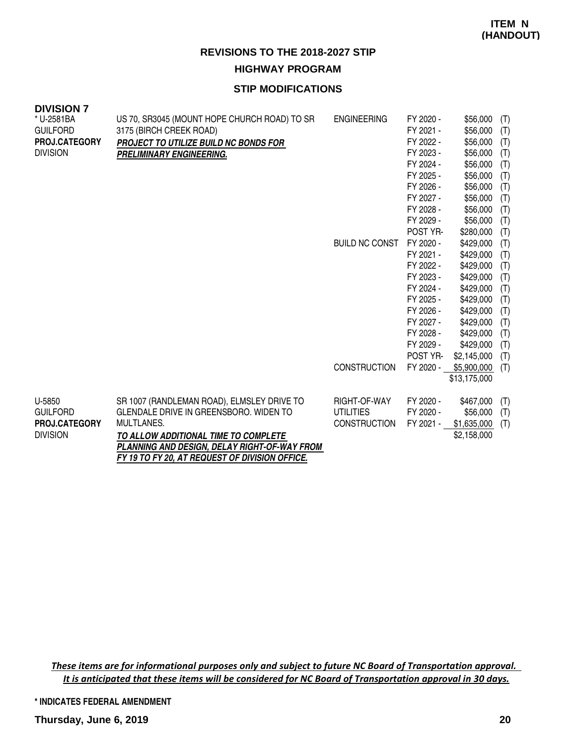### **STIP MODIFICATIONS**

| <b>DIVISION 7</b> |                                                |                       |           |              |     |
|-------------------|------------------------------------------------|-----------------------|-----------|--------------|-----|
| * U-2581BA        | US 70, SR3045 (MOUNT HOPE CHURCH ROAD) TO SR   | <b>ENGINEERING</b>    | FY 2020 - | \$56,000     | (T) |
| <b>GUILFORD</b>   | 3175 (BIRCH CREEK ROAD)                        |                       | FY 2021 - | \$56,000     | (T) |
| PROJ.CATEGORY     | PROJECT TO UTILIZE BUILD NC BONDS FOR          |                       | FY 2022 - | \$56,000     | (T) |
| <b>DIVISION</b>   | <b>PRELIMINARY ENGINEERING.</b>                |                       | FY 2023 - | \$56,000     | (T) |
|                   |                                                |                       | FY 2024 - | \$56,000     | (T) |
|                   |                                                |                       | FY 2025 - | \$56,000     | (T) |
|                   |                                                |                       | FY 2026 - | \$56,000     | (T) |
|                   |                                                |                       | FY 2027 - | \$56,000     | (T) |
|                   |                                                |                       | FY 2028 - | \$56,000     | (T) |
|                   |                                                |                       | FY 2029 - | \$56,000     | (T) |
|                   |                                                |                       | POST YR-  | \$280,000    | (T) |
|                   |                                                | <b>BUILD NC CONST</b> | FY 2020 - | \$429,000    | (T) |
|                   |                                                |                       | FY 2021 - | \$429,000    | (T) |
|                   |                                                |                       | FY 2022 - | \$429,000    | (T) |
|                   |                                                |                       | FY 2023 - | \$429,000    | (T) |
|                   |                                                |                       | FY 2024 - | \$429,000    | (T) |
|                   |                                                |                       | FY 2025 - | \$429,000    | (T) |
|                   |                                                |                       | FY 2026 - | \$429,000    | (T) |
|                   |                                                |                       | FY 2027 - | \$429,000    | (T) |
|                   |                                                |                       | FY 2028 - | \$429,000    | (T) |
|                   |                                                |                       | FY 2029 - | \$429,000    | (T) |
|                   |                                                |                       | POST YR-  | \$2,145,000  | (T) |
|                   |                                                | <b>CONSTRUCTION</b>   | FY 2020 - | \$5,900,000  | (T) |
|                   |                                                |                       |           | \$13,175,000 |     |
| U-5850            | SR 1007 (RANDLEMAN ROAD), ELMSLEY DRIVE TO     | RIGHT-OF-WAY          | FY 2020 - | \$467,000    | (T) |
| <b>GUILFORD</b>   | GLENDALE DRIVE IN GREENSBORO. WIDEN TO         | <b>UTILITIES</b>      | FY 2020 - | \$56,000     | (T) |
| PROJ.CATEGORY     | MULTLANES.                                     | <b>CONSTRUCTION</b>   | FY 2021 - | \$1,635,000  | (T) |
| <b>DIVISION</b>   | TO ALLOW ADDITIONAL TIME TO COMPLETE           |                       |           | \$2,158,000  |     |
|                   | PLANNING AND DESIGN, DELAY RIGHT-OF-WAY FROM   |                       |           |              |     |
|                   | FY 19 TO FY 20, AT REQUEST OF DIVISION OFFICE. |                       |           |              |     |

These items are for informational purposes only and subject to future NC Board of Transportation approval. It is anticipated that these items will be considered for NC Board of Transportation approval in 30 days.

**\* INDICATES FEDERAL AMENDMENT**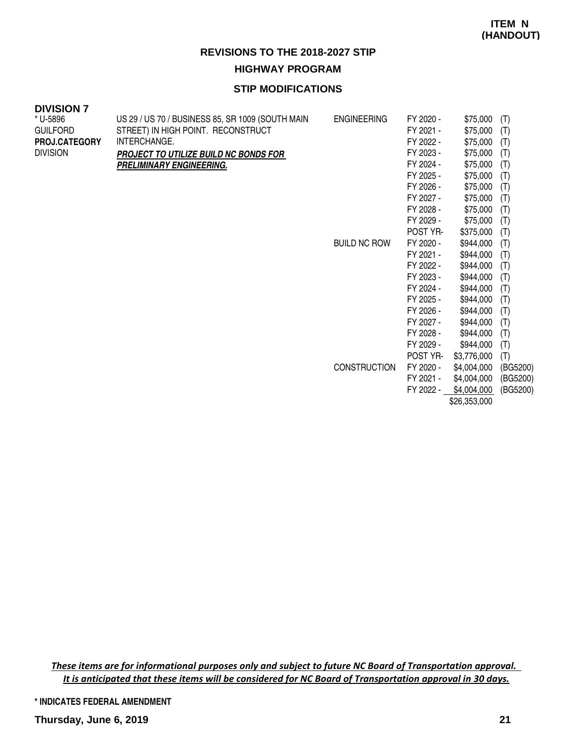#### **STIP MODIFICATIONS**

| <b>DIVISION 7</b> |                                                  |                     |           |             |          |
|-------------------|--------------------------------------------------|---------------------|-----------|-------------|----------|
| * U-5896          | US 29 / US 70 / BUSINESS 85, SR 1009 (SOUTH MAIN | <b>ENGINEERING</b>  | FY 2020 - | \$75,000    | (T)      |
| <b>GUILFORD</b>   | STREET) IN HIGH POINT. RECONSTRUCT               |                     | FY 2021 - | \$75,000    | (T)      |
| PROJ.CATEGORY     | INTERCHANGE.                                     |                     | FY 2022 - | \$75,000    | (T)      |
| <b>DIVISION</b>   | <b>PROJECT TO UTILIZE BUILD NC BONDS FOR</b>     |                     | FY 2023 - | \$75,000    | (T)      |
|                   | <b>PRELIMINARY ENGINEERING.</b>                  |                     | FY 2024 - | \$75,000    | (T)      |
|                   |                                                  |                     | FY 2025 - | \$75,000    | (T)      |
|                   |                                                  |                     | FY 2026 - | \$75,000    | (T)      |
|                   |                                                  |                     | FY 2027 - | \$75,000    | (T)      |
|                   |                                                  |                     | FY 2028 - | \$75,000    | (T)      |
|                   |                                                  |                     | FY 2029 - | \$75,000    | (T)      |
|                   |                                                  |                     | POST YR-  | \$375,000   | (T)      |
|                   |                                                  | <b>BUILD NC ROW</b> | FY 2020 - | \$944,000   | (T)      |
|                   |                                                  |                     | FY 2021 - | \$944,000   | (T)      |
|                   |                                                  |                     | FY 2022 - | \$944,000   | (T)      |
|                   |                                                  |                     | FY 2023 - | \$944,000   | (T)      |
|                   |                                                  |                     | FY 2024 - | \$944,000   | (T)      |
|                   |                                                  |                     | FY 2025 - | \$944,000   | (T)      |
|                   |                                                  |                     | FY 2026 - | \$944,000   | (T)      |
|                   |                                                  |                     | FY 2027 - | \$944,000   | (T)      |
|                   |                                                  |                     | FY 2028 - | \$944,000   | (T)      |
|                   |                                                  |                     | FY 2029 - | \$944,000   | (T)      |
|                   |                                                  |                     | POST YR-  | \$3,776,000 | (T)      |
|                   |                                                  | <b>CONSTRUCTION</b> | FY 2020 - | \$4,004,000 | (BG5200) |
|                   |                                                  |                     | FY 2021 - | \$4,004,000 | (BG5200) |

These items are for informational purposes only and subject to future NC Board of Transportation approval. It is anticipated that these items will be considered for NC Board of Transportation approval in 30 days.

**\* INDICATES FEDERAL AMENDMENT**

FY 2022 - \$4,004,000 (BG5200) \$26,353,000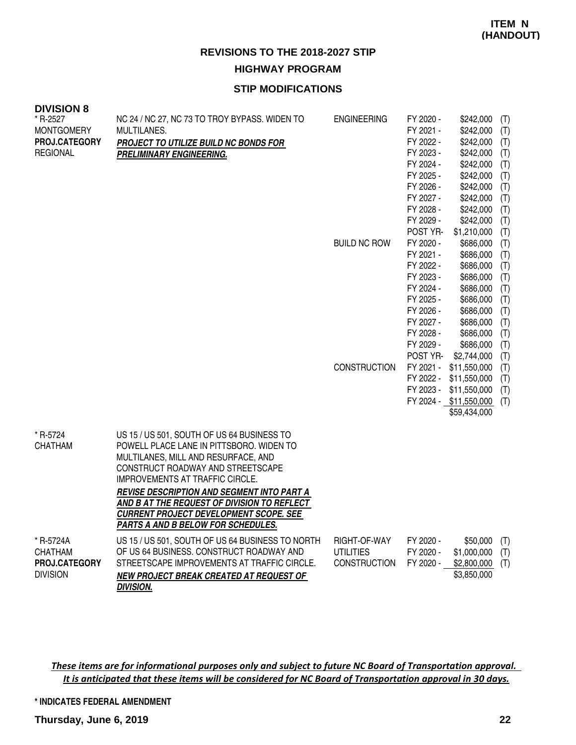## **STIP MODIFICATIONS**

| <b>DIVISION 8</b><br>* R-2527<br><b>MONTGOMERY</b><br><b>PROJ.CATEGORY</b><br><b>REGIONAL</b> | NC 24 / NC 27, NC 73 TO TROY BYPASS. WIDEN TO<br>MULTILANES.<br>PROJECT TO UTILIZE BUILD NC BONDS FOR<br><b>PRELIMINARY ENGINEERING.</b>                                                                                                                                                                                                                                                         | <b>ENGINEERING</b>                                      | FY 2020 -<br>FY 2021 -<br>FY 2022 -<br>FY 2023 -<br>FY 2024 -<br>FY 2025 -<br>FY 2026 -<br>FY 2027 -<br>FY 2028 -<br>FY 2029 -<br>POST YR- | \$242,000<br>\$242,000<br>\$242,000<br>\$242,000<br>\$242,000<br>\$242,000<br>\$242,000<br>\$242,000<br>\$242,000<br>\$242,000<br>\$1,210,000 | (T)<br>(T)<br>(T)<br>(T)<br>(T)<br>(T)<br>(T)<br>(T)<br>(T)<br>(T)<br>(T) |
|-----------------------------------------------------------------------------------------------|--------------------------------------------------------------------------------------------------------------------------------------------------------------------------------------------------------------------------------------------------------------------------------------------------------------------------------------------------------------------------------------------------|---------------------------------------------------------|--------------------------------------------------------------------------------------------------------------------------------------------|-----------------------------------------------------------------------------------------------------------------------------------------------|---------------------------------------------------------------------------|
|                                                                                               |                                                                                                                                                                                                                                                                                                                                                                                                  | <b>BUILD NC ROW</b>                                     | FY 2020 -<br>FY 2021 -<br>FY 2022 -<br>FY 2023 -<br>FY 2024 -<br>FY 2025 -<br>FY 2026 -<br>FY 2027 -<br>FY 2028 -<br>FY 2029 -<br>POST YR- | \$686,000<br>\$686,000<br>\$686,000<br>\$686,000<br>\$686,000<br>\$686,000<br>\$686,000<br>\$686,000<br>\$686,000<br>\$686,000<br>\$2,744,000 | (T)<br>(T)<br>(T)<br>(T)<br>(T)<br>(T)<br>(T)<br>(T)<br>(T)<br>(T)<br>(T) |
|                                                                                               |                                                                                                                                                                                                                                                                                                                                                                                                  | <b>CONSTRUCTION</b>                                     | FY 2023 -                                                                                                                                  | FY 2021 - \$11,550,000<br>FY 2022 - \$11,550,000<br>\$11,550,000<br>FY 2024 - \$11,550,000<br>\$59,434,000                                    | (T)<br>(T)<br>(T)<br>(T)                                                  |
| * R-5724<br><b>CHATHAM</b>                                                                    | US 15 / US 501, SOUTH OF US 64 BUSINESS TO<br>POWELL PLACE LANE IN PITTSBORO. WIDEN TO<br>MULTILANES, MILL AND RESURFACE, AND<br>CONSTRUCT ROADWAY AND STREETSCAPE<br>IMPROVEMENTS AT TRAFFIC CIRCLE.<br><b>REVISE DESCRIPTION AND SEGMENT INTO PART A</b><br>AND B AT THE REQUEST OF DIVISION TO REFLECT<br><b>CURRENT PROJECT DEVELOPMENT SCOPE. SEE</b><br>PARTS A AND B BELOW FOR SCHEDULES. |                                                         |                                                                                                                                            |                                                                                                                                               |                                                                           |
| * R-5724A<br><b>CHATHAM</b><br>PROJ.CATEGORY<br><b>DIVISION</b>                               | US 15 / US 501, SOUTH OF US 64 BUSINESS TO NORTH<br>OF US 64 BUSINESS. CONSTRUCT ROADWAY AND<br>STREETSCAPE IMPROVEMENTS AT TRAFFIC CIRCLE.<br>NEW PROJECT BREAK CREATED AT REQUEST OF<br><b>DIVISION.</b>                                                                                                                                                                                       | RIGHT-OF-WAY<br><b>UTILITIES</b><br><b>CONSTRUCTION</b> | FY 2020 -<br>FY 2020 -<br>FY 2020 -                                                                                                        | \$50,000<br>\$1,000,000<br>\$2,800,000<br>\$3,850,000                                                                                         | (T)<br>(T)<br>(T)                                                         |

These items are for informational purposes only and subject to future NC Board of Transportation approval. It is anticipated that these items will be considered for NC Board of Transportation approval in 30 days.

**\* INDICATES FEDERAL AMENDMENT**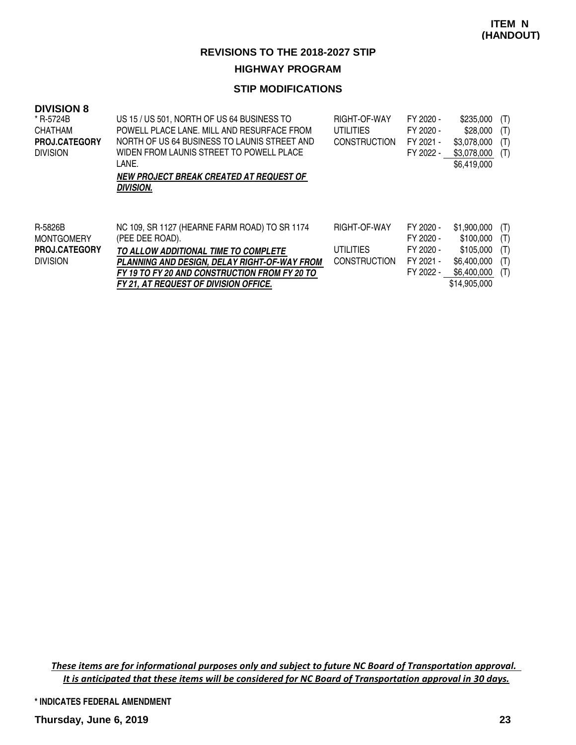## **STIP MODIFICATIONS**

#### **DIVISION 8**

| * R-5724B            | US 15 / US 501, NORTH OF US 64 BUSINESS TO    | RIGHT-OF-WAY        | FY 2020 - | \$235,000    | (T) |
|----------------------|-----------------------------------------------|---------------------|-----------|--------------|-----|
| <b>CHATHAM</b>       | POWELL PLACE LANE. MILL AND RESURFACE FROM    | UTILITIES           | FY 2020 - | \$28,000     | (T) |
| <b>PROJ.CATEGORY</b> | NORTH OF US 64 BUSINESS TO LAUNIS STREET AND  | <b>CONSTRUCTION</b> | FY 2021 - | \$3,078,000  | (T) |
| <b>DIVISION</b>      | WIDEN FROM LAUNIS STREET TO POWELL PLACE      |                     | FY 2022 - | \$3,078,000  | (T) |
|                      | LANE.                                         |                     |           | \$6,419,000  |     |
|                      | NEW PROJECT BREAK CREATED AT REQUEST OF       |                     |           |              |     |
|                      | <b>DIVISION.</b>                              |                     |           |              |     |
|                      |                                               |                     |           |              |     |
|                      |                                               |                     |           |              |     |
| R-5826B              | NC 109, SR 1127 (HEARNE FARM ROAD) TO SR 1174 | RIGHT-OF-WAY        | FY 2020 - | \$1,900,000  | (T) |
| <b>MONTGOMERY</b>    | (PEE DEE ROAD).                               |                     | FY 2020 - | \$100,000    | (T) |
| <b>PROJ.CATEGORY</b> | TO ALLOW ADDITIONAL TIME TO COMPLETE          | <b>UTILITIES</b>    | FY 2020 - | \$105,000    | (T) |
| <b>DIVISION</b>      | PLANNING AND DESIGN, DELAY RIGHT-OF-WAY FROM  | <b>CONSTRUCTION</b> | FY 2021 - | \$6,400,000  | (T) |
|                      | FY 19 TO FY 20 AND CONSTRUCTION FROM FY 20 TO |                     | FY 2022 - | \$6,400,000  | (T) |
|                      | <b>FY 21, AT REQUEST OF DIVISION OFFICE.</b>  |                     |           | \$14,905,000 |     |

These items are for informational purposes only and subject to future NC Board of Transportation approval. It is anticipated that these items will be considered for NC Board of Transportation approval in 30 days.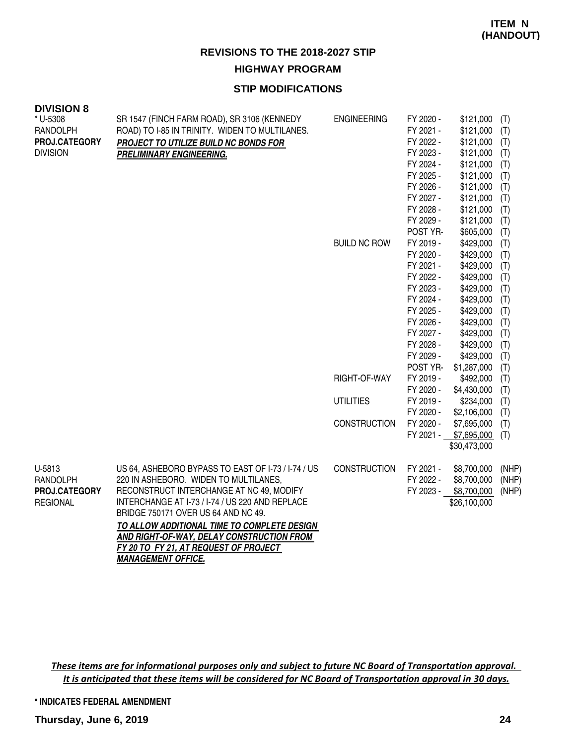### **STIP MODIFICATIONS**

| <b>DIVISION 8</b> |                                                    |                     |           |              |       |
|-------------------|----------------------------------------------------|---------------------|-----------|--------------|-------|
| * U-5308          | SR 1547 (FINCH FARM ROAD), SR 3106 (KENNEDY        | <b>ENGINEERING</b>  | FY 2020 - | \$121,000    | (T)   |
| RANDOLPH          | ROAD) TO I-85 IN TRINITY. WIDEN TO MULTILANES.     |                     | FY 2021 - | \$121,000    | (T)   |
| PROJ.CATEGORY     | PROJECT TO UTILIZE BUILD NC BONDS FOR              |                     | FY 2022 - | \$121,000    | (T)   |
| <b>DIVISION</b>   | PRELIMINARY ENGINEERING.                           |                     | FY 2023 - | \$121,000    | (T)   |
|                   |                                                    |                     | FY 2024 - | \$121,000    | (T)   |
|                   |                                                    |                     | FY 2025 - | \$121,000    | (T)   |
|                   |                                                    |                     | FY 2026 - | \$121,000    | (T)   |
|                   |                                                    |                     | FY 2027 - | \$121,000    | (T)   |
|                   |                                                    |                     | FY 2028 - | \$121,000    | (T)   |
|                   |                                                    |                     | FY 2029 - | \$121,000    | (T)   |
|                   |                                                    |                     | POST YR-  | \$605,000    | (T)   |
|                   |                                                    | <b>BUILD NC ROW</b> | FY 2019 - | \$429,000    | (T)   |
|                   |                                                    |                     | FY 2020 - | \$429,000    | (T)   |
|                   |                                                    |                     | FY 2021 - | \$429,000    | (T)   |
|                   |                                                    |                     | FY 2022 - | \$429,000    | (T)   |
|                   |                                                    |                     | FY 2023 - | \$429,000    | (T)   |
|                   |                                                    |                     | FY 2024 - | \$429,000    | (T)   |
|                   |                                                    |                     | FY 2025 - | \$429,000    | (T)   |
|                   |                                                    |                     | FY 2026 - | \$429,000    | (T)   |
|                   |                                                    |                     | FY 2027 - | \$429,000    | (T)   |
|                   |                                                    |                     | FY 2028 - | \$429,000    | (T)   |
|                   |                                                    |                     | FY 2029 - | \$429,000    | (T)   |
|                   |                                                    |                     | POST YR-  | \$1,287,000  | (T)   |
|                   |                                                    | RIGHT-OF-WAY        | FY 2019 - | \$492,000    | (T)   |
|                   |                                                    |                     | FY 2020 - | \$4,430,000  | (T)   |
|                   |                                                    | <b>UTILITIES</b>    | FY 2019 - | \$234,000    | (T)   |
|                   |                                                    |                     | FY 2020 - | \$2,106,000  | (T)   |
|                   |                                                    | <b>CONSTRUCTION</b> | FY 2020 - | \$7,695,000  | (T)   |
|                   |                                                    |                     | FY 2021 - | \$7,695,000  | (T)   |
|                   |                                                    |                     |           | \$30,473,000 |       |
| U-5813            | US 64, ASHEBORO BYPASS TO EAST OF I-73 / I-74 / US | <b>CONSTRUCTION</b> | FY 2021 - | \$8,700,000  | (NHP) |
| <b>RANDOLPH</b>   | 220 IN ASHEBORO. WIDEN TO MULTILANES,              |                     | FY 2022 - | \$8,700,000  | (NHP) |
| PROJ.CATEGORY     | RECONSTRUCT INTERCHANGE AT NC 49, MODIFY           |                     | FY 2023 - | \$8,700,000  | (NHP) |
| <b>REGIONAL</b>   | INTERCHANGE AT I-73 / I-74 / US 220 AND REPLACE    |                     |           | \$26,100,000 |       |
|                   | BRIDGE 750171 OVER US 64 AND NC 49.                |                     |           |              |       |
|                   | TO ALLOW ADDITIONAL TIME TO COMPLETE DESIGN        |                     |           |              |       |
|                   | AND RIGHT-OF-WAY, DELAY CONSTRUCTION FROM          |                     |           |              |       |
|                   | FY 20 TO FY 21, AT REQUEST OF PROJECT              |                     |           |              |       |
|                   | <b>MANAGEMENT OFFICE.</b>                          |                     |           |              |       |

These items are for informational purposes only and subject to future NC Board of Transportation approval. It is anticipated that these items will be considered for NC Board of Transportation approval in 30 days.

**\* INDICATES FEDERAL AMENDMENT**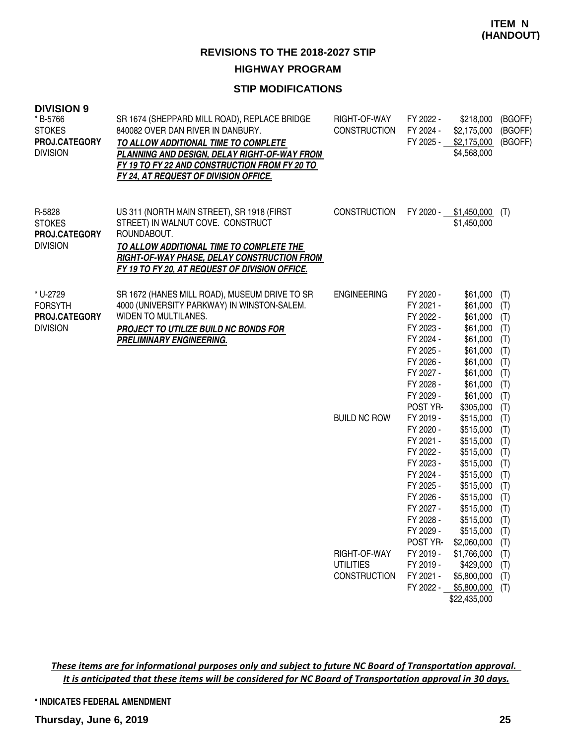### **STIP MODIFICATIONS**

| <b>DIVISION 9</b><br>* B-5766<br><b>STOKES</b><br>PROJ.CATEGORY<br><b>DIVISION</b> | SR 1674 (SHEPPARD MILL ROAD), REPLACE BRIDGE<br>840082 OVER DAN RIVER IN DANBURY.<br>TO ALLOW ADDITIONAL TIME TO COMPLETE<br>PLANNING AND DESIGN, DELAY RIGHT-OF-WAY FROM<br>FY 19 TO FY 22 AND CONSTRUCTION FROM FY 20 TO<br>FY 24, AT REQUEST OF DIVISION OFFICE. | RIGHT-OF-WAY<br><b>CONSTRUCTION</b>              | FY 2022 -<br>FY 2024 -<br>FY 2025 -                                                                                                                     | \$218,000<br>\$2,175,000<br>\$2,175,000<br>\$4,568,000                                                                                                     | (BGOFF)<br>(BGOFF)<br>(BGOFF)                                                    |
|------------------------------------------------------------------------------------|---------------------------------------------------------------------------------------------------------------------------------------------------------------------------------------------------------------------------------------------------------------------|--------------------------------------------------|---------------------------------------------------------------------------------------------------------------------------------------------------------|------------------------------------------------------------------------------------------------------------------------------------------------------------|----------------------------------------------------------------------------------|
| R-5828<br><b>STOKES</b><br>PROJ.CATEGORY<br><b>DIVISION</b>                        | US 311 (NORTH MAIN STREET), SR 1918 (FIRST<br>STREET) IN WALNUT COVE. CONSTRUCT<br>ROUNDABOUT.<br>TO ALLOW ADDITIONAL TIME TO COMPLETE THE<br><b>RIGHT-OF-WAY PHASE, DELAY CONSTRUCTION FROM</b><br>FY 19 TO FY 20, AT REQUEST OF DIVISION OFFICE.                  | <b>CONSTRUCTION</b>                              | FY 2020 -                                                                                                                                               | \$1,450,000<br>\$1,450,000                                                                                                                                 | (T)                                                                              |
| * U-2729<br><b>FORSYTH</b><br>PROJ.CATEGORY<br><b>DIVISION</b>                     | SR 1672 (HANES MILL ROAD), MUSEUM DRIVE TO SR<br>4000 (UNIVERSITY PARKWAY) IN WINSTON-SALEM.<br>WIDEN TO MULTILANES.<br>PROJECT TO UTILIZE BUILD NC BONDS FOR<br>PRELIMINARY ENGINEERING.                                                                           | <b>ENGINEERING</b>                               | FY 2020 -<br>FY 2021 -<br>FY 2022 -<br>FY 2023 -<br>FY 2024 -<br>FY 2025 -<br>FY 2026 -<br>FY 2027 -<br>FY 2028 -<br>FY 2029 -<br>POST YR-              | \$61,000<br>\$61,000<br>\$61,000<br>\$61,000<br>\$61,000<br>\$61,000<br>\$61,000<br>\$61,000<br>\$61,000<br>\$61,000<br>\$305,000                          | (T)<br>(T)<br>(T)<br>(T)<br>(T)<br>(T)<br>(T)<br>(T)<br>(T)<br>(T)<br>(T)        |
|                                                                                    |                                                                                                                                                                                                                                                                     | <b>BUILD NC ROW</b>                              | FY 2019 -<br>FY 2020 -<br>FY 2021 -<br>FY 2022 -<br>FY 2023 -<br>FY 2024 -<br>FY 2025 -<br>FY 2026 -<br>FY 2027 -<br>FY 2028 -<br>FY 2029 -<br>POST YR- | \$515,000<br>\$515,000<br>\$515,000<br>\$515,000<br>\$515,000<br>\$515,000<br>\$515,000<br>\$515,000<br>\$515,000<br>\$515,000<br>\$515,000<br>\$2,060,000 | (T)<br>(T)<br>(T)<br>(T)<br>(T)<br>(T)<br>(T)<br>(T)<br>(T)<br>(T)<br>(T)<br>(T) |
|                                                                                    |                                                                                                                                                                                                                                                                     | RIGHT-OF-WAY<br><b>UTILITIES</b><br>CONSTRUCTION | FY 2019 -<br>FY 2019 -<br>FY 2021 -<br>FY 2022 -                                                                                                        | \$1,766,000<br>\$429,000<br>\$5,800,000<br>\$5,800,000<br>\$22,435,000                                                                                     | (T)<br>(T)<br>(T)<br>(T)                                                         |

These items are for informational purposes only and subject to future NC Board of Transportation approval. It is anticipated that these items will be considered for NC Board of Transportation approval in 30 days.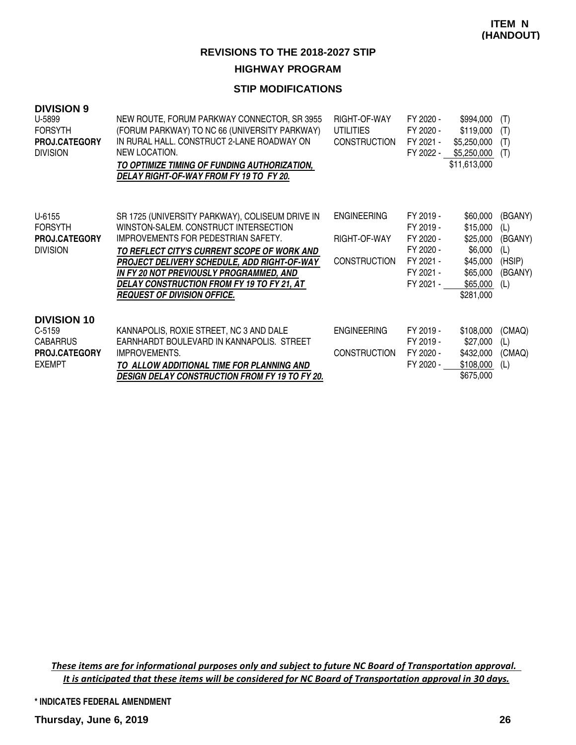### **STIP MODIFICATIONS**

| <b>DIVISION 9</b><br>U-5899<br><b>FORSYTH</b><br>PROJ.CATEGORY<br><b>DIVISION</b>   | NEW ROUTE, FORUM PARKWAY CONNECTOR, SR 3955<br>(FORUM PARKWAY) TO NC 66 (UNIVERSITY PARKWAY)<br>IN RURAL HALL, CONSTRUCT 2-LANE ROADWAY ON<br>NEW LOCATION.<br>TO OPTIMIZE TIMING OF FUNDING AUTHORIZATION,<br>DELAY RIGHT-OF-WAY FROM FY 19 TO FY 20.                                                                                                       | RIGHT-OF-WAY<br><b>UTILITIES</b><br><b>CONSTRUCTION</b>   | FY 2020 -<br>FY 2020 -<br>FY 2021 -<br>FY 2022 -                                        | \$994,000<br>\$119,000<br>\$5,250,000<br>\$5,250,000<br>\$11,613,000                         | (T)<br>(T)<br>(T)<br>(T)                                     |
|-------------------------------------------------------------------------------------|--------------------------------------------------------------------------------------------------------------------------------------------------------------------------------------------------------------------------------------------------------------------------------------------------------------------------------------------------------------|-----------------------------------------------------------|-----------------------------------------------------------------------------------------|----------------------------------------------------------------------------------------------|--------------------------------------------------------------|
| $U-6155$<br><b>FORSYTH</b><br>PROJ.CATEGORY<br><b>DIVISION</b>                      | SR 1725 (UNIVERSITY PARKWAY), COLISEUM DRIVE IN<br>WINSTON-SALEM. CONSTRUCT INTERSECTION<br>IMPROVEMENTS FOR PEDESTRIAN SAFETY.<br>TO REFLECT CITY'S CURRENT SCOPE OF WORK AND<br>PROJECT DELIVERY SCHEDULE, ADD RIGHT-OF-WAY<br>IN FY 20 NOT PREVIOUSLY PROGRAMMED, AND<br>DELAY CONSTRUCTION FROM FY 19 TO FY 21, AT<br><b>REQUEST OF DIVISION OFFICE.</b> | <b>ENGINEERING</b><br>RIGHT-OF-WAY<br><b>CONSTRUCTION</b> | FY 2019 -<br>FY 2019 -<br>FY 2020 -<br>FY 2020 -<br>FY 2021 -<br>FY 2021 -<br>FY 2021 - | \$60,000<br>\$15,000<br>\$25,000<br>\$6,000<br>\$45,000<br>\$65,000<br>\$65,000<br>\$281,000 | (BGANY)<br>(L)<br>(BGANY)<br>(L)<br>(HSIP)<br>(BGANY)<br>(L) |
| <b>DIVISION 10</b><br>$C-5159$<br><b>CABARRUS</b><br>PROJ.CATEGORY<br><b>EXEMPT</b> | KANNAPOLIS, ROXIE STREET, NC 3 AND DALE<br>EARNHARDT BOULEVARD IN KANNAPOLIS. STREET<br><b>IMPROVEMENTS.</b><br>TO ALLOW ADDITIONAL TIME FOR PLANNING AND<br>DESIGN DELAY CONSTRUCTION FROM FY 19 TO FY 20.                                                                                                                                                  | <b>ENGINEERING</b><br><b>CONSTRUCTION</b>                 | FY 2019 -<br>FY 2019 -<br>FY 2020 -<br>FY 2020 -                                        | \$108,000<br>\$27,000<br>\$432,000<br>\$108,000<br>\$675,000                                 | (CMAQ)<br>(L)<br>(CMAQ)<br>(L)                               |

These items are for informational purposes only and subject to future NC Board of Transportation approval. It is anticipated that these items will be considered for NC Board of Transportation approval in 30 days.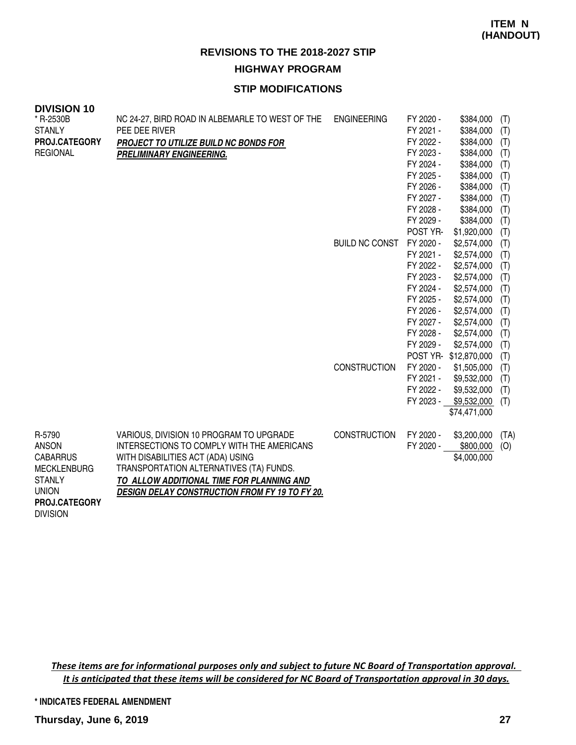## **STIP MODIFICATIONS**

| <b>DIVISION 10</b> |                                                       |                       |           |                      |      |
|--------------------|-------------------------------------------------------|-----------------------|-----------|----------------------|------|
| * R-2530B          | NC 24-27, BIRD ROAD IN ALBEMARLE TO WEST OF THE       | <b>ENGINEERING</b>    | FY 2020 - | \$384,000            | (T)  |
| <b>STANLY</b>      | PEE DEE RIVER                                         |                       | FY 2021 - | \$384,000            | (T)  |
| PROJ.CATEGORY      | PROJECT TO UTILIZE BUILD NC BONDS FOR                 |                       | FY 2022 - | \$384,000            | (T)  |
| <b>REGIONAL</b>    | <b>PRELIMINARY ENGINEERING.</b>                       |                       | FY 2023 - | \$384,000            | (T)  |
|                    |                                                       |                       | FY 2024 - | \$384,000            | (T)  |
|                    |                                                       |                       | FY 2025 - | \$384,000            | (T)  |
|                    |                                                       |                       | FY 2026 - | \$384,000            | (T)  |
|                    |                                                       |                       | FY 2027 - | \$384,000            | (T)  |
|                    |                                                       |                       | FY 2028 - | \$384,000            | (T)  |
|                    |                                                       |                       | FY 2029 - | \$384,000            | (T)  |
|                    |                                                       |                       | POST YR-  | \$1,920,000          | (T)  |
|                    |                                                       | <b>BUILD NC CONST</b> | FY 2020 - | \$2,574,000          | (T)  |
|                    |                                                       |                       | FY 2021 - | \$2,574,000          | (T)  |
|                    |                                                       |                       | FY 2022 - | \$2,574,000          | (T)  |
|                    |                                                       |                       | FY 2023 - | \$2,574,000          | (T)  |
|                    |                                                       |                       | FY 2024 - | \$2,574,000          | (T)  |
|                    |                                                       |                       | FY 2025 - | \$2,574,000          | (T)  |
|                    |                                                       |                       | FY 2026 - | \$2,574,000          | (T)  |
|                    |                                                       |                       | FY 2027 - | \$2,574,000          | (T)  |
|                    |                                                       |                       | FY 2028 - | \$2,574,000          | (T)  |
|                    |                                                       |                       | FY 2029 - | \$2,574,000          | (T)  |
|                    |                                                       |                       |           | POST YR-\$12,870,000 | (T)  |
|                    |                                                       | <b>CONSTRUCTION</b>   | FY 2020 - | \$1,505,000          | (T)  |
|                    |                                                       |                       | FY 2021 - | \$9,532,000          | (T)  |
|                    |                                                       |                       | FY 2022 - | \$9,532,000          | (T)  |
|                    |                                                       |                       | FY 2023 - | \$9,532,000          | (T)  |
|                    |                                                       |                       |           | \$74,471,000         |      |
| R-5790             | VARIOUS, DIVISION 10 PROGRAM TO UPGRADE               | <b>CONSTRUCTION</b>   | FY 2020 - | \$3,200,000          | (TA) |
| <b>ANSON</b>       | INTERSECTIONS TO COMPLY WITH THE AMERICANS            |                       | FY 2020 - | \$800,000            | (O)  |
| <b>CABARRUS</b>    | WITH DISABILITIES ACT (ADA) USING                     |                       |           | \$4,000,000          |      |
| <b>MECKLENBURG</b> | TRANSPORTATION ALTERNATIVES (TA) FUNDS.               |                       |           |                      |      |
| <b>STANLY</b>      | TO ALLOW ADDITIONAL TIME FOR PLANNING AND             |                       |           |                      |      |
| <b>UNION</b>       | <b>DESIGN DELAY CONSTRUCTION FROM FY 19 TO FY 20.</b> |                       |           |                      |      |
| DDA LA TECADV      |                                                       |                       |           |                      |      |

DIVISION **PROJ.CATEGORY**

> These items are for informational purposes only and subject to future NC Board of Transportation approval. It is anticipated that these items will be considered for NC Board of Transportation approval in 30 days.

**\* INDICATES FEDERAL AMENDMENT**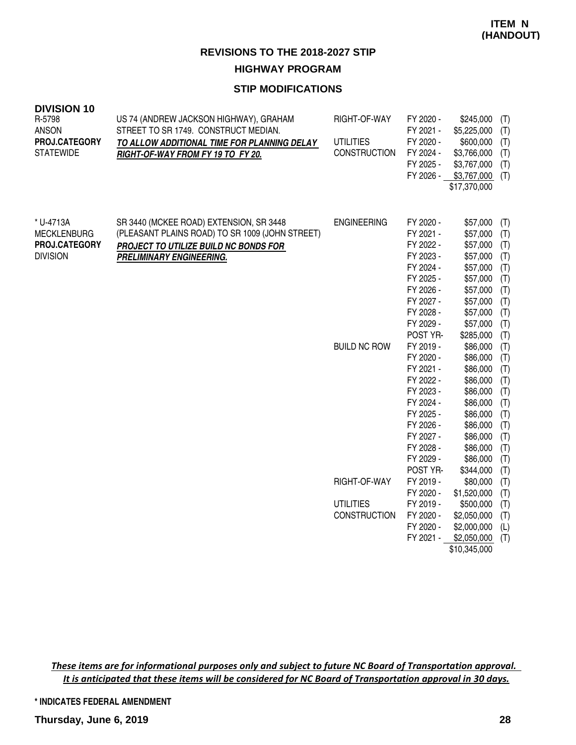## **STIP MODIFICATIONS**

| <b>DIVISION 10</b><br>R-5798<br><b>ANSON</b><br>PROJ.CATEGORY<br><b>STATEWIDE</b> | US 74 (ANDREW JACKSON HIGHWAY), GRAHAM<br>STREET TO SR 1749. CONSTRUCT MEDIAN.<br>TO ALLOW ADDITIONAL TIME FOR PLANNING DELAY<br>RIGHT-OF-WAY FROM FY 19 TO FY 20. | RIGHT-OF-WAY<br><b>UTILITIES</b><br>CONSTRUCTION | FY 2020 -<br>FY 2021 -<br>FY 2020 -<br>FY 2024 -<br>FY 2025 -<br>FY 2026 -                                                                                                                                                                                                                            | \$245,000<br>\$5,225,000<br>\$600,000<br>\$3,766,000<br>\$3,767,000<br>\$3,767,000<br>\$17,370,000                                                                                                                                                                                 | (T)<br>(T)<br>(T)<br>(T)<br>(T)<br>(T)                                                                                                                        |
|-----------------------------------------------------------------------------------|--------------------------------------------------------------------------------------------------------------------------------------------------------------------|--------------------------------------------------|-------------------------------------------------------------------------------------------------------------------------------------------------------------------------------------------------------------------------------------------------------------------------------------------------------|------------------------------------------------------------------------------------------------------------------------------------------------------------------------------------------------------------------------------------------------------------------------------------|---------------------------------------------------------------------------------------------------------------------------------------------------------------|
| * U-4713A<br><b>MECKLENBURG</b><br>PROJ.CATEGORY<br><b>DIVISION</b>               | SR 3440 (MCKEE ROAD) EXTENSION, SR 3448<br>(PLEASANT PLAINS ROAD) TO SR 1009 (JOHN STREET)<br>PROJECT TO UTILIZE BUILD NC BONDS FOR<br>PRELIMINARY ENGINEERING.    | <b>ENGINEERING</b><br><b>BUILD NC ROW</b>        | FY 2020 -<br>FY 2021 -<br>FY 2022 -<br>FY 2023 -<br>FY 2024 -<br>FY 2025 -<br>FY 2026 -<br>FY 2027 -<br>FY 2028 -<br>FY 2029 -<br>POST YR-<br>FY 2019 -<br>FY 2020 -<br>FY 2021 -<br>FY 2022 -<br>FY 2023 -<br>FY 2024 -<br>FY 2025 -<br>FY 2026 -<br>FY 2027 -<br>FY 2028 -<br>FY 2029 -<br>POST YR- | \$57,000<br>\$57,000<br>\$57,000<br>\$57,000<br>\$57,000<br>\$57,000<br>\$57,000<br>\$57,000<br>\$57,000<br>\$57,000<br>\$285,000<br>\$86,000<br>\$86,000<br>\$86,000<br>\$86,000<br>\$86,000<br>\$86,000<br>\$86,000<br>\$86,000<br>\$86,000<br>\$86,000<br>\$86,000<br>\$344,000 | (T)<br>(T)<br>(T)<br>(T)<br>(T)<br>(T)<br>(T)<br>(T)<br>(T)<br>(T)<br>(T)<br>(T)<br>(T)<br>(T)<br>(T)<br>(T)<br>(T)<br>(T)<br>(T)<br>(T)<br>(T)<br>(T)<br>(T) |
|                                                                                   |                                                                                                                                                                    | RIGHT-OF-WAY                                     | FY 2019 -                                                                                                                                                                                                                                                                                             | \$80,000                                                                                                                                                                                                                                                                           | (T)                                                                                                                                                           |
|                                                                                   |                                                                                                                                                                    |                                                  | FY 2020 -                                                                                                                                                                                                                                                                                             | \$1,520,000                                                                                                                                                                                                                                                                        | (T)                                                                                                                                                           |
|                                                                                   |                                                                                                                                                                    | <b>UTILITIES</b>                                 | FY 2019 -                                                                                                                                                                                                                                                                                             | \$500,000                                                                                                                                                                                                                                                                          | (T)                                                                                                                                                           |
|                                                                                   |                                                                                                                                                                    | <b>CONSTRUCTION</b>                              | FY 2020 -                                                                                                                                                                                                                                                                                             | \$2,050,000                                                                                                                                                                                                                                                                        | (T)                                                                                                                                                           |
|                                                                                   |                                                                                                                                                                    |                                                  | FY 2020 -                                                                                                                                                                                                                                                                                             | \$2,000,000                                                                                                                                                                                                                                                                        | (L)                                                                                                                                                           |
|                                                                                   |                                                                                                                                                                    |                                                  | FY 2021 -                                                                                                                                                                                                                                                                                             | \$2,050,000                                                                                                                                                                                                                                                                        | (T)                                                                                                                                                           |
|                                                                                   |                                                                                                                                                                    |                                                  |                                                                                                                                                                                                                                                                                                       | \$10,345,000                                                                                                                                                                                                                                                                       |                                                                                                                                                               |

These items are for informational purposes only and subject to future NC Board of Transportation approval. It is anticipated that these items will be considered for NC Board of Transportation approval in 30 days.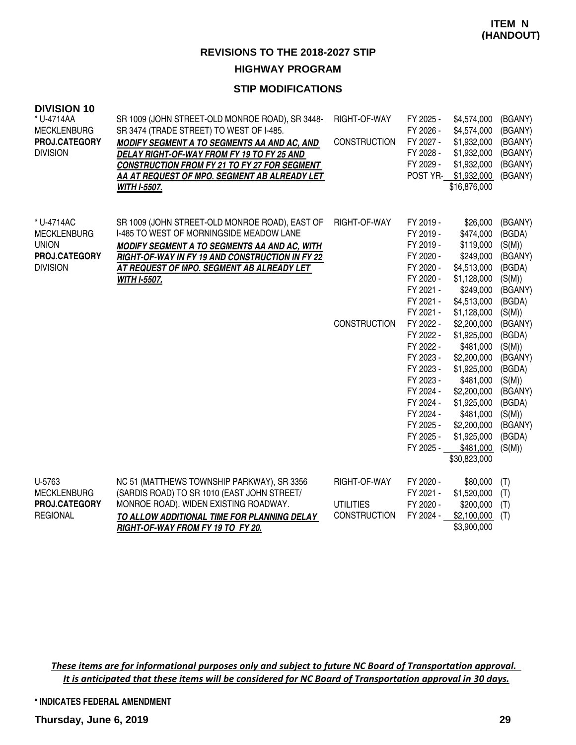## **STIP MODIFICATIONS**

| <b>DIVISION 10</b><br>* U-4714AA<br><b>MECKLENBURG</b><br>PROJ.CATEGORY<br><b>DIVISION</b> | SR 1009 (JOHN STREET-OLD MONROE ROAD), SR 3448-<br>SR 3474 (TRADE STREET) TO WEST OF I-485.<br>MODIFY SEGMENT A TO SEGMENTS AA AND AC, AND<br>DELAY RIGHT-OF-WAY FROM FY 19 TO FY 25 AND<br><b>CONSTRUCTION FROM FY 21 TO FY 27 FOR SEGMENT</b><br>AA AT REQUEST OF MPO. SEGMENT AB ALREADY LET<br>WITH I-5507. | RIGHT-OF-WAY<br><b>CONSTRUCTION</b>                     | FY 2025 -<br>FY 2026 -<br>FY 2027 -<br>FY 2028 -<br>FY 2029 -<br><b>POST YR-</b>                                                                                                                                                                                              | \$4,574,000<br>\$4,574,000<br>\$1,932,000<br>\$1,932,000<br>\$1,932,000<br>\$1,932,000<br>\$16,876,000                                                                                                                                                                                                               | (BGANY)<br>(BGANY)<br>(BGANY)<br>(BGANY)<br>(BGANY)<br>(BGANY)                                                                                                                                                        |
|--------------------------------------------------------------------------------------------|-----------------------------------------------------------------------------------------------------------------------------------------------------------------------------------------------------------------------------------------------------------------------------------------------------------------|---------------------------------------------------------|-------------------------------------------------------------------------------------------------------------------------------------------------------------------------------------------------------------------------------------------------------------------------------|----------------------------------------------------------------------------------------------------------------------------------------------------------------------------------------------------------------------------------------------------------------------------------------------------------------------|-----------------------------------------------------------------------------------------------------------------------------------------------------------------------------------------------------------------------|
| * U-4714AC<br><b>MECKLENBURG</b><br><b>UNION</b><br>PROJ.CATEGORY<br><b>DIVISION</b>       | SR 1009 (JOHN STREET-OLD MONROE ROAD), EAST OF<br>I-485 TO WEST OF MORNINGSIDE MEADOW LANE<br>MODIFY SEGMENT A TO SEGMENTS AA AND AC, WITH<br>RIGHT-OF-WAY IN FY 19 AND CONSTRUCTION IN FY 22<br>AT REQUEST OF MPO. SEGMENT AB ALREADY LET<br>WITH I-5507.                                                      | RIGHT-OF-WAY<br><b>CONSTRUCTION</b>                     | FY 2019 -<br>FY 2019 -<br>FY 2019 -<br>FY 2020 -<br>FY 2020 -<br>FY 2020 -<br>FY 2021 -<br>FY 2021 -<br>FY 2021 -<br>FY 2022 -<br>FY 2022 -<br>FY 2022 -<br>FY 2023 -<br>FY 2023 -<br>FY 2023 -<br>FY 2024 -<br>FY 2024 -<br>FY 2024 -<br>FY 2025 -<br>FY 2025 -<br>FY 2025 - | \$26,000<br>\$474,000<br>\$119,000<br>\$249,000<br>\$4,513,000<br>\$1,128,000<br>\$249,000<br>\$4,513,000<br>\$1,128,000<br>\$2,200,000<br>\$1,925,000<br>\$481,000<br>\$2,200,000<br>\$1,925,000<br>\$481,000<br>\$2,200,000<br>\$1,925,000<br>\$481,000<br>\$2,200,000<br>\$1,925,000<br>\$481,000<br>\$30,823,000 | (BGANY)<br>(BGDA)<br>(S(M))<br>(BGANY)<br>(BGDA)<br>(S(M))<br>(BGANY)<br>(BGDA)<br>(S(M))<br>(BGANY)<br>(BGDA)<br>(S(M))<br>(BGANY)<br>(BGDA)<br>(S(M))<br>(BGANY)<br>(BGDA)<br>(S(M))<br>(BGANY)<br>(BGDA)<br>(S(M)) |
| U-5763<br><b>MECKLENBURG</b><br>PROJ.CATEGORY<br><b>REGIONAL</b>                           | NC 51 (MATTHEWS TOWNSHIP PARKWAY), SR 3356<br>(SARDIS ROAD) TO SR 1010 (EAST JOHN STREET/<br>MONROE ROAD). WIDEN EXISTING ROADWAY.<br>TO ALLOW ADDITIONAL TIME FOR PLANNING DELAY<br>RIGHT-OF-WAY FROM FY 19 TO FY 20.                                                                                          | RIGHT-OF-WAY<br><b>UTILITIES</b><br><b>CONSTRUCTION</b> | FY 2020 -<br>FY 2021 -<br>FY 2020 -<br>FY 2024 -                                                                                                                                                                                                                              | \$80,000<br>\$1,520,000<br>\$200,000<br>\$2,100,000<br>\$3,900,000                                                                                                                                                                                                                                                   | (T)<br>(T)<br>(T)<br>(T)                                                                                                                                                                                              |

These items are for informational purposes only and subject to future NC Board of Transportation approval. It is anticipated that these items will be considered for NC Board of Transportation approval in 30 days.

**\* INDICATES FEDERAL AMENDMENT**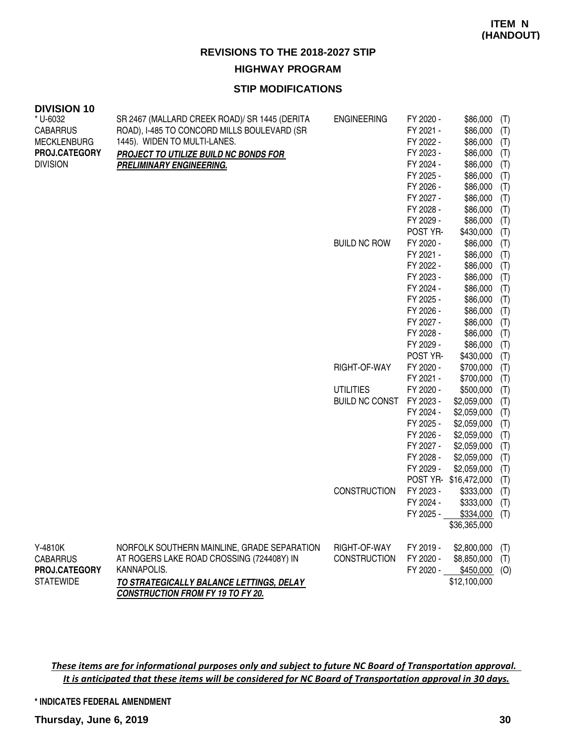### **STIP MODIFICATIONS**

| <b>DIVISION 10</b> |                                               |                       |                        |                                     |            |
|--------------------|-----------------------------------------------|-----------------------|------------------------|-------------------------------------|------------|
| * U-6032           | SR 2467 (MALLARD CREEK ROAD)/ SR 1445 (DERITA | <b>ENGINEERING</b>    | FY 2020 -              | \$86,000                            | (T)        |
| <b>CABARRUS</b>    | ROAD), I-485 TO CONCORD MILLS BOULEVARD (SR   |                       | FY 2021 -              | \$86,000                            | (T)        |
| <b>MECKLENBURG</b> | 1445). WIDEN TO MULTI-LANES.                  |                       | FY 2022 -              | \$86,000                            | (T)        |
| PROJ.CATEGORY      | PROJECT TO UTILIZE BUILD NC BONDS FOR         |                       | FY 2023 -              | \$86,000                            | (T)        |
| <b>DIVISION</b>    | <b>PRELIMINARY ENGINEERING.</b>               |                       | FY 2024 -              | \$86,000                            | (T)        |
|                    |                                               |                       | FY 2025 -              | \$86,000                            | (T)        |
|                    |                                               |                       | FY 2026 -              | \$86,000                            | (T)        |
|                    |                                               |                       | FY 2027 -              | \$86,000                            | (T)        |
|                    |                                               |                       | FY 2028 -              | \$86,000                            | (T)        |
|                    |                                               |                       | FY 2029 -              | \$86,000                            | (T)        |
|                    |                                               |                       | POST YR-               | \$430,000                           | (T)        |
|                    |                                               | <b>BUILD NC ROW</b>   | FY 2020 -              | \$86,000                            | (T)        |
|                    |                                               |                       | FY 2021 -              | \$86,000                            | (T)        |
|                    |                                               |                       | FY 2022 -              | \$86,000                            | (T)        |
|                    |                                               |                       | FY 2023 -              | \$86,000                            | (T)        |
|                    |                                               |                       | FY 2024 -              | \$86,000                            | (T)        |
|                    |                                               |                       | FY 2025 -              | \$86,000                            | (T)        |
|                    |                                               |                       | FY 2026 -              | \$86,000                            | (T)        |
|                    |                                               |                       | FY 2027 -              | \$86,000                            | (T)        |
|                    |                                               |                       | FY 2028 -              | \$86,000                            | (T)        |
|                    |                                               |                       | FY 2029 -              | \$86,000                            | (T)        |
|                    |                                               |                       | POST YR-               | \$430,000                           | (T)        |
|                    |                                               | RIGHT-OF-WAY          | FY 2020 -              | \$700,000                           | (T)        |
|                    |                                               |                       | FY 2021 -              | \$700,000                           | (T)        |
|                    |                                               | <b>UTILITIES</b>      | FY 2020 -              | \$500,000                           | (T)        |
|                    |                                               | <b>BUILD NC CONST</b> | FY 2023 -              | \$2,059,000                         | (T)        |
|                    |                                               |                       | FY 2024 -              | \$2,059,000                         | (T)        |
|                    |                                               |                       | FY 2025 -              | \$2,059,000                         | (T)        |
|                    |                                               |                       | FY 2026 -              | \$2,059,000                         | (T)        |
|                    |                                               |                       | FY 2027 -              | \$2,059,000                         | (T)        |
|                    |                                               |                       | FY 2028 -<br>FY 2029 - | \$2,059,000                         | (T)        |
|                    |                                               |                       |                        | \$2,059,000<br>POST YR-\$16,472,000 | (T)        |
|                    |                                               | <b>CONSTRUCTION</b>   | FY 2023 -              | \$333,000                           | (T)<br>(T) |
|                    |                                               |                       | FY 2024 -              | \$333,000                           | (T)        |
|                    |                                               |                       | FY 2025 -              | \$334,000                           | (T)        |
|                    |                                               |                       |                        | \$36,365,000                        |            |
|                    |                                               |                       |                        |                                     |            |
| Y-4810K            | NORFOLK SOUTHERN MAINLINE, GRADE SEPARATION   | RIGHT-OF-WAY          | FY 2019 -              | \$2,800,000                         | (T)        |
| <b>CABARRUS</b>    | AT ROGERS LAKE ROAD CROSSING (724408Y) IN     | <b>CONSTRUCTION</b>   | FY 2020 -              | \$8,850,000                         | (T)        |
| PROJ.CATEGORY      | KANNAPOLIS.                                   |                       | FY 2020 -              | \$450,000                           | (O)        |
| <b>STATEWIDE</b>   | TO STRATEGICALLY BALANCE LETTINGS, DELAY      |                       |                        | \$12,100,000                        |            |
|                    | <b>CONSTRUCTION FROM FY 19 TO FY 20.</b>      |                       |                        |                                     |            |

These items are for informational purposes only and subject to future NC Board of Transportation approval. It is anticipated that these items will be considered for NC Board of Transportation approval in 30 days.

**\* INDICATES FEDERAL AMENDMENT**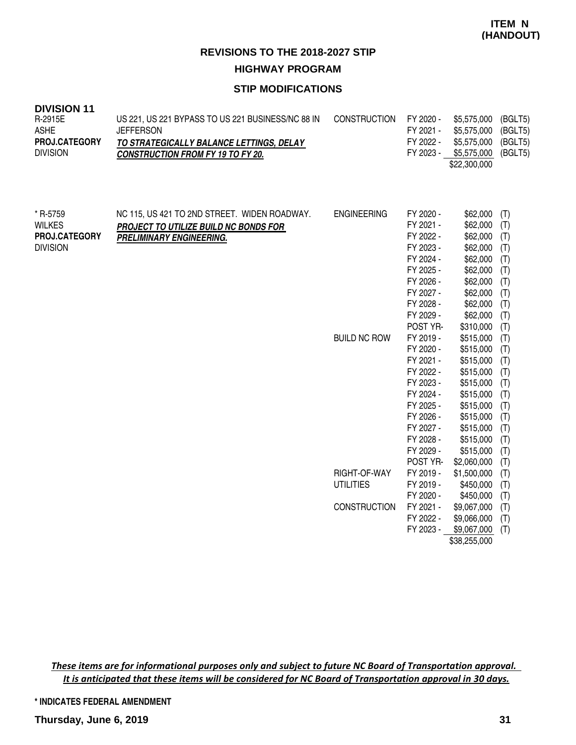### **STIP MODIFICATIONS**

| <b>DIVISION 11</b> |  |  |
|--------------------|--|--|
|--------------------|--|--|

| R-2915E              | US 221, US 221 BYPASS TO US 221 BUSINESS/NC 88 IN | CONSTRUCTION FY 2020 - |           | \$5,575,000 (BGLT5) |  |
|----------------------|---------------------------------------------------|------------------------|-----------|---------------------|--|
| ASHE                 | <b>JEFFERSON</b>                                  |                        | FY 2021 - | \$5.575.000 (BGLT5) |  |
| <b>PROJ.CATEGORY</b> | TO STRATEGICALLY BALANCE LETTINGS, DELAY          |                        | FY 2022 - | \$5,575,000 (BGLT5) |  |
| <b>DIVISION</b>      | <b>CONSTRUCTION FROM FY 19 TO FY 20.</b>          |                        | FY 2023 - | \$5,575,000 (BGLT5) |  |
|                      |                                                   |                        |           | \$22,300,000        |  |

| * R-5759        | NC 115, US 421 TO 2ND STREET. WIDEN ROADWAY. | <b>ENGINEERING</b>  | FY 2020 - | \$62,000     | (T) |
|-----------------|----------------------------------------------|---------------------|-----------|--------------|-----|
| <b>WILKES</b>   | PROJECT TO UTILIZE BUILD NC BONDS FOR        |                     | FY 2021 - | \$62,000     | (T) |
| PROJ.CATEGORY   | <b>PRELIMINARY ENGINEERING.</b>              |                     | FY 2022 - | \$62,000     | (T) |
| <b>DIVISION</b> |                                              |                     | FY 2023 - | \$62,000     | (T) |
|                 |                                              |                     | FY 2024 - | \$62,000     | (T) |
|                 |                                              |                     | FY 2025 - | \$62,000     | (T) |
|                 |                                              |                     | FY 2026 - | \$62,000     | (T) |
|                 |                                              |                     | FY 2027 - | \$62,000     | (T) |
|                 |                                              |                     | FY 2028 - | \$62,000     | (T) |
|                 |                                              |                     | FY 2029 - | \$62,000     | (T) |
|                 |                                              |                     | POST YR-  | \$310,000    | (T) |
|                 |                                              | <b>BUILD NC ROW</b> | FY 2019 - | \$515,000    | (T) |
|                 |                                              |                     | FY 2020 - | \$515,000    | (T) |
|                 |                                              |                     | FY 2021 - | \$515,000    | (T) |
|                 |                                              |                     | FY 2022 - | \$515,000    | (T) |
|                 |                                              |                     | FY 2023 - | \$515,000    | (T) |
|                 |                                              |                     | FY 2024 - | \$515,000    | (T) |
|                 |                                              |                     | FY 2025 - | \$515,000    | (T) |
|                 |                                              |                     | FY 2026 - | \$515,000    | (T) |
|                 |                                              |                     | FY 2027 - | \$515,000    | (T) |
|                 |                                              |                     | FY 2028 - | \$515,000    | (T) |
|                 |                                              |                     | FY 2029 - | \$515,000    | (T) |
|                 |                                              |                     | POST YR-  | \$2,060,000  | (T) |
|                 |                                              | RIGHT-OF-WAY        | FY 2019 - | \$1,500,000  | (T) |
|                 |                                              | <b>UTILITIES</b>    | FY 2019 - | \$450,000    | (T) |
|                 |                                              |                     | FY 2020 - | \$450,000    | (T) |
|                 |                                              | <b>CONSTRUCTION</b> | FY 2021 - | \$9,067,000  | (T) |
|                 |                                              |                     | FY 2022 - | \$9,066,000  | (T) |
|                 |                                              |                     | FY 2023 - | \$9,067,000  | (T) |
|                 |                                              |                     |           | \$38,255,000 |     |

These items are for informational purposes only and subject to future NC Board of Transportation approval. It is anticipated that these items will be considered for NC Board of Transportation approval in 30 days.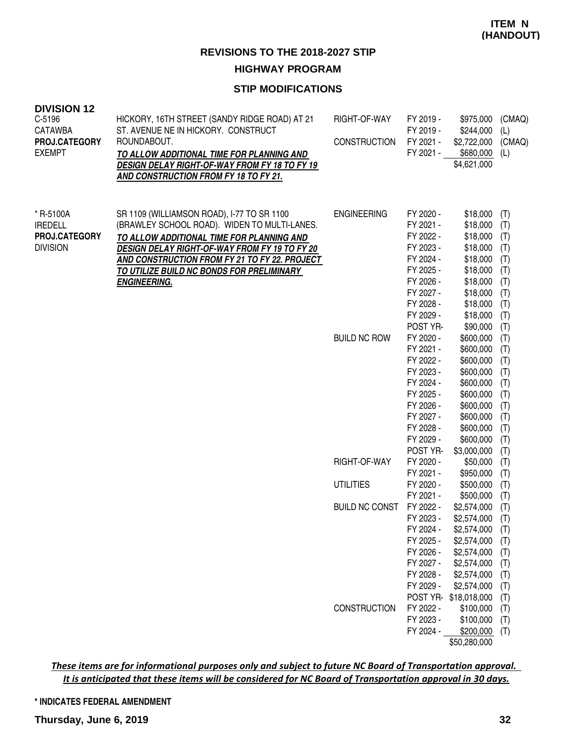### **STIP MODIFICATIONS**

| <b>DIVISION 12</b><br>C-5196<br><b>CATAWBA</b><br>PROJ.CATEGORY<br><b>EXEMPT</b> | HICKORY, 16TH STREET (SANDY RIDGE ROAD) AT 21<br>ST. AVENUE NE IN HICKORY. CONSTRUCT<br>ROUNDABOUT.<br>TO ALLOW ADDITIONAL TIME FOR PLANNING AND<br><b>DESIGN DELAY RIGHT-OF-WAY FROM FY 18 TO FY 19</b><br>AND CONSTRUCTION FROM FY 18 TO FY 21.                                                             | RIGHT-OF-WAY<br><b>CONSTRUCTION</b> | FY 2019 -<br>FY 2019 -<br>FY 2021 -<br>FY 2021 -                                                                                           | \$975,000<br>\$244,000<br>\$2,722,000<br>\$680,000<br>\$4,621,000                                                                             | (CMAQ)<br>(L)<br>(CMAQ)<br>(L)                                            |
|----------------------------------------------------------------------------------|---------------------------------------------------------------------------------------------------------------------------------------------------------------------------------------------------------------------------------------------------------------------------------------------------------------|-------------------------------------|--------------------------------------------------------------------------------------------------------------------------------------------|-----------------------------------------------------------------------------------------------------------------------------------------------|---------------------------------------------------------------------------|
| * R-5100A<br><b>IREDELL</b><br>PROJ.CATEGORY<br><b>DIVISION</b>                  | SR 1109 (WILLIAMSON ROAD), I-77 TO SR 1100<br>(BRAWLEY SCHOOL ROAD). WIDEN TO MULTI-LANES.<br>TO ALLOW ADDITIONAL TIME FOR PLANNING AND<br>DESIGN DELAY RIGHT-OF-WAY FROM FY 19 TO FY 20<br>AND CONSTRUCTION FROM FY 21 TO FY 22. PROJECT<br>TO UTILIZE BUILD NC BONDS FOR PRELIMINARY<br><b>ENGINEERING.</b> | <b>ENGINEERING</b>                  | FY 2020 -<br>FY 2021 -<br>FY 2022 -<br>FY 2023 -<br>FY 2024 -<br>FY 2025 -<br>FY 2026 -<br>FY 2027 -<br>FY 2028 -<br>FY 2029 -<br>POST YR- | \$18,000<br>\$18,000<br>\$18,000<br>\$18,000<br>\$18,000<br>\$18,000<br>\$18,000<br>\$18,000<br>\$18,000<br>\$18,000<br>\$90,000              | (T)<br>(T)<br>(T)<br>(T)<br>(T)<br>(T)<br>(T)<br>(T)<br>(T)<br>(T)<br>(T) |
|                                                                                  |                                                                                                                                                                                                                                                                                                               | <b>BUILD NC ROW</b>                 | FY 2020 -<br>FY 2021 -<br>FY 2022 -<br>FY 2023 -<br>FY 2024 -<br>FY 2025 -<br>FY 2026 -<br>FY 2027 -<br>FY 2028 -<br>FY 2029 -<br>POST YR- | \$600,000<br>\$600,000<br>\$600,000<br>\$600,000<br>\$600,000<br>\$600,000<br>\$600,000<br>\$600,000<br>\$600,000<br>\$600,000<br>\$3,000,000 | (T)<br>(T)<br>(T)<br>(T)<br>(T)<br>(T)<br>(T)<br>(T)<br>(T)<br>(T)<br>(T) |
|                                                                                  |                                                                                                                                                                                                                                                                                                               | RIGHT-OF-WAY                        | FY 2020 -<br>FY 2021 -                                                                                                                     | \$50,000<br>\$950,000                                                                                                                         | (T)<br>(T)                                                                |
|                                                                                  |                                                                                                                                                                                                                                                                                                               | <b>UTILITIES</b>                    | FY 2020 -<br>FY 2021 -                                                                                                                     | \$500,000<br>\$500,000                                                                                                                        | (T)<br>(T)                                                                |
|                                                                                  |                                                                                                                                                                                                                                                                                                               | <b>BUILD NC CONST</b>               | FY 2022 -<br>FY 2023 -<br>FY 2024 -<br>FY 2025 -<br>FY 2026 -<br>FY 2027 -<br>FY 2028 -<br>FY 2029 -<br>POST YR-                           | \$2,574,000<br>\$2,574,000<br>\$2,574,000<br>\$2,574,000<br>\$2,574,000<br>\$2,574,000<br>\$2,574,000<br>\$2,574,000<br>\$18,018,000          | (T)<br>(T)<br>(T)<br>(T)<br>(T)<br>(T)<br>(T)<br>(T)<br>(T)               |
|                                                                                  |                                                                                                                                                                                                                                                                                                               | <b>CONSTRUCTION</b>                 | FY 2022 -<br>FY 2023 -<br>FY 2024 -                                                                                                        | \$100,000<br>\$100,000<br>\$200,000<br>\$50,280,000                                                                                           | (T)<br>(T)<br>(T)                                                         |

These items are for informational purposes only and subject to future NC Board of Transportation approval. It is anticipated that these items will be considered for NC Board of Transportation approval in 30 days.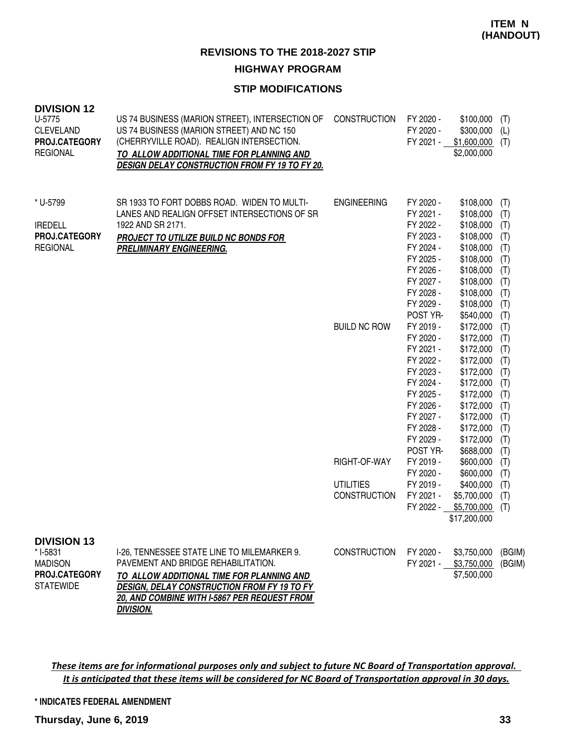### **STIP MODIFICATIONS**

| <b>DIVISION 12</b><br>U-5775<br><b>CLEVELAND</b><br>PROJ.CATEGORY<br><b>REGIONAL</b>  | US 74 BUSINESS (MARION STREET), INTERSECTION OF<br>US 74 BUSINESS (MARION STREET) AND NC 150<br>(CHERRYVILLE ROAD). REALIGN INTERSECTION.<br>TO ALLOW ADDITIONAL TIME FOR PLANNING AND<br>DESIGN DELAY CONSTRUCTION FROM FY 19 TO FY 20.           | <b>CONSTRUCTION</b>                                     | FY 2020 -<br>FY 2020 -<br>FY 2021 -                                                                                                                                 | \$100,000<br>\$300,000<br>\$1,600,000<br>\$2,000,000                                                                                                                  | (T)<br>(L)<br>(T)                                                                       |
|---------------------------------------------------------------------------------------|----------------------------------------------------------------------------------------------------------------------------------------------------------------------------------------------------------------------------------------------------|---------------------------------------------------------|---------------------------------------------------------------------------------------------------------------------------------------------------------------------|-----------------------------------------------------------------------------------------------------------------------------------------------------------------------|-----------------------------------------------------------------------------------------|
| * U-5799<br><b>IREDELL</b><br>PROJ.CATEGORY<br><b>REGIONAL</b>                        | SR 1933 TO FORT DOBBS ROAD. WIDEN TO MULTI-<br>LANES AND REALIGN OFFSET INTERSECTIONS OF SR<br>1922 AND SR 2171.<br>PROJECT TO UTILIZE BUILD NC BONDS FOR<br>PRELIMINARY ENGINEERING.                                                              | <b>ENGINEERING</b>                                      | FY 2020 -<br>FY 2021 -<br>FY 2022 -<br>FY 2023 -<br>FY 2024 -<br>FY 2025 -<br>FY 2026 -<br>FY 2027 -<br>FY 2028 -<br>FY 2029 -                                      | \$108,000<br>\$108,000<br>\$108,000<br>\$108,000<br>\$108,000<br>\$108,000<br>\$108,000<br>\$108,000<br>\$108,000<br>\$108,000                                        | (T)<br>(T)<br>(T)<br>(T)<br>(T)<br>(T)<br>(T)<br>(T)<br>(T)<br>(T)                      |
|                                                                                       |                                                                                                                                                                                                                                                    | <b>BUILD NC ROW</b>                                     | POST YR-<br>FY 2019 -<br>FY 2020 -<br>FY 2021 -<br>FY 2022 -<br>FY 2023 -<br>FY 2024 -<br>FY 2025 -<br>FY 2026 -<br>FY 2027 -<br>FY 2028 -<br>FY 2029 -<br>POST YR- | \$540,000<br>\$172,000<br>\$172,000<br>\$172,000<br>\$172,000<br>\$172,000<br>\$172,000<br>\$172,000<br>\$172,000<br>\$172,000<br>\$172,000<br>\$172,000<br>\$688,000 | (T)<br>(T)<br>(T)<br>(T)<br>(T)<br>(T)<br>(T)<br>(T)<br>(T)<br>(T)<br>(T)<br>(T)<br>(T) |
|                                                                                       |                                                                                                                                                                                                                                                    | RIGHT-OF-WAY<br><b>UTILITIES</b><br><b>CONSTRUCTION</b> | FY 2019 -<br>FY 2020 -<br>FY 2019 -<br>FY 2021 -<br>FY 2022 -                                                                                                       | \$600,000<br>\$600,000<br>\$400,000<br>\$5,700,000<br>\$5,700,000<br>\$17,200,000                                                                                     | (T)<br>(T)<br>(T)<br>(T)<br>(T)                                                         |
| <b>DIVISION 13</b><br>* I-5831<br><b>MADISON</b><br>PROJ.CATEGORY<br><b>STATEWIDE</b> | I-26, TENNESSEE STATE LINE TO MILEMARKER 9.<br>PAVEMENT AND BRIDGE REHABILITATION.<br>TO ALLOW ADDITIONAL TIME FOR PLANNING AND<br>DESIGN, DELAY CONSTRUCTION FROM FY 19 TO FY<br>20, AND COMBINE WITH I-5867 PER REQUEST FROM<br><b>DIVISION.</b> | <b>CONSTRUCTION</b>                                     | FY 2020 -<br>FY 2021 -                                                                                                                                              | \$3,750,000<br>\$3,750,000<br>\$7,500,000                                                                                                                             | (BGIM)<br>(BGIM)                                                                        |

These items are for informational purposes only and subject to future NC Board of Transportation approval. It is anticipated that these items will be considered for NC Board of Transportation approval in 30 days.

**\* INDICATES FEDERAL AMENDMENT**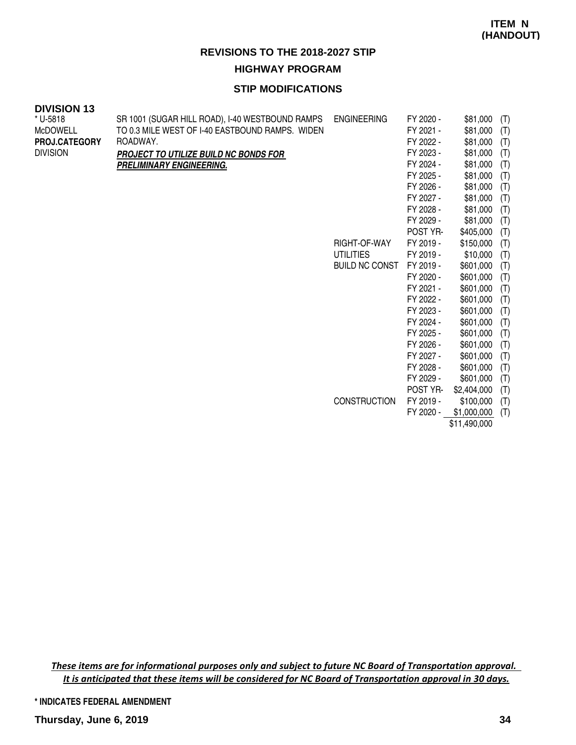### **STIP MODIFICATIONS**

| <b>DIVISION 13</b> |                                                 |                       |                     |                                              |     |
|--------------------|-------------------------------------------------|-----------------------|---------------------|----------------------------------------------|-----|
| * U-5818           | SR 1001 (SUGAR HILL ROAD), I-40 WESTBOUND RAMPS | <b>ENGINEERING</b>    | FY 2020 -           | \$81,000                                     | (T) |
| <b>McDOWELL</b>    | TO 0.3 MILE WEST OF I-40 EASTBOUND RAMPS. WIDEN |                       | FY 2021 -           | \$81,000                                     | (T) |
| PROJ.CATEGORY      | ROADWAY.                                        |                       | FY 2022 -           | \$81,000                                     | (T) |
| <b>DIVISION</b>    | PROJECT TO UTILIZE BUILD NC BONDS FOR           |                       | FY 2023 -           | \$81,000                                     | (T) |
|                    | <b>PRELIMINARY ENGINEERING.</b>                 |                       | FY 2024 -           | \$81,000                                     | (T) |
|                    |                                                 |                       | FY 2025 -           | \$81,000                                     | (T) |
|                    |                                                 |                       | FY 2026 -           | \$81,000                                     | (T) |
|                    |                                                 |                       | FY 2027 -           | \$81,000                                     | (T) |
|                    |                                                 |                       | FY 2028 -           | \$81,000                                     | (T) |
|                    |                                                 |                       | FY 2029 -           | \$81,000                                     | (T) |
|                    |                                                 |                       | POST YR-            | \$405,000                                    | (T) |
|                    |                                                 | RIGHT-OF-WAY          | FY 2019 -           | \$150,000                                    | (T) |
|                    |                                                 | <b>UTILITIES</b>      | FY 2019 -           | \$10,000                                     | (T) |
|                    |                                                 | <b>BUILD NC CONST</b> | FY 2019 -           | \$601,000                                    | (T) |
|                    |                                                 |                       | FY 2020 -           | \$601,000                                    | (T) |
|                    |                                                 |                       | FY 2021 -           | \$601,000                                    | (T) |
|                    |                                                 |                       | FY 2022 -           | \$601,000                                    | (T) |
|                    |                                                 |                       | FY 2023 -           | \$601,000                                    | (T) |
|                    |                                                 |                       | FY 2024 -           | \$601,000                                    | (T) |
|                    |                                                 |                       | FY 2025 -           | \$601,000                                    | (T) |
|                    |                                                 |                       | FY 2026 -           | \$601,000                                    | (T) |
|                    |                                                 |                       | FY 2027 -           | \$601,000                                    | (T) |
|                    |                                                 |                       | FY 2028 -           | \$601,000                                    | (T) |
|                    |                                                 |                       | FY 2029 -           | \$601,000                                    | (T) |
|                    |                                                 | CONICTDUCTION         | POST YR-<br>LA VULL | \$2,404,000<br>$\mathsf{A}$ and $\mathsf{A}$ | (T) |

CONSTRUCTION FY 2019 - \$100,000 (T)  $FY 2020 - 1000,000 (T)$ 

\$11,490,000

These items are for informational purposes only and subject to future NC Board of Transportation approval. It is anticipated that these items will be considered for NC Board of Transportation approval in 30 days.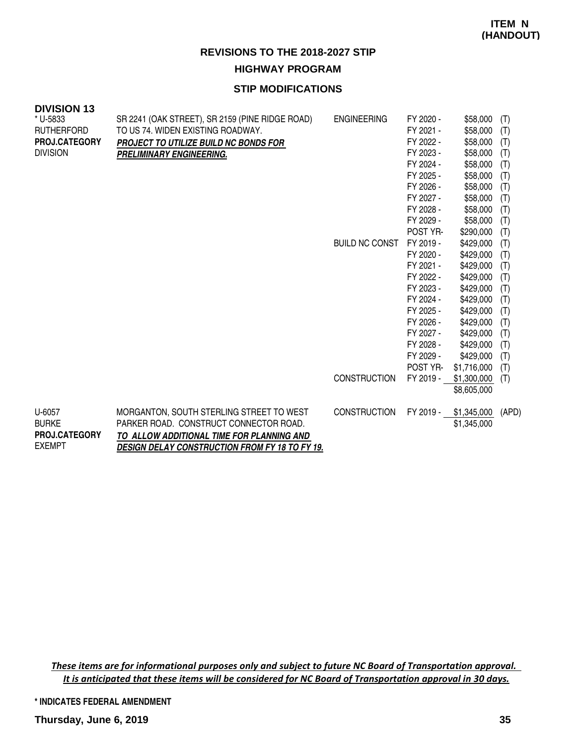## **STIP MODIFICATIONS**

| <b>DIVISION 13</b><br>* U-5833<br><b>RUTHERFORD</b><br>PROJ.CATEGORY<br><b>DIVISION</b> | SR 2241 (OAK STREET), SR 2159 (PINE RIDGE ROAD)<br>TO US 74, WIDEN EXISTING ROADWAY.<br>PROJECT TO UTILIZE BUILD NC BONDS FOR<br>PRELIMINARY ENGINEERING.                                | <b>ENGINEERING</b><br><b>BUILD NC CONST</b> | FY 2020 -<br>FY 2021 -<br>FY 2022 -<br>FY 2023 -<br>FY 2024 -<br>FY 2025 -<br>FY 2026 -<br>FY 2027 -<br>FY 2028 -<br>FY 2029 -<br>POST YR-<br>FY 2019 -<br>FY 2020 -<br>FY 2021 -<br>FY 2022 -<br>FY 2023 -<br>FY 2024 - | \$58,000<br>\$58,000<br>\$58,000<br>\$58,000<br>\$58,000<br>\$58,000<br>\$58,000<br>\$58,000<br>\$58,000<br>\$58,000<br>\$290,000<br>\$429,000<br>\$429,000<br>\$429,000<br>\$429,000<br>\$429,000<br>\$429,000 | (T)<br>(T)<br>(T)<br>(T)<br>(T)<br>(T)<br>(T)<br>(T)<br>(T)<br>(T)<br>(T)<br>(T)<br>(T)<br>(T)<br>(T)<br>(T)<br>(T) |
|-----------------------------------------------------------------------------------------|------------------------------------------------------------------------------------------------------------------------------------------------------------------------------------------|---------------------------------------------|--------------------------------------------------------------------------------------------------------------------------------------------------------------------------------------------------------------------------|-----------------------------------------------------------------------------------------------------------------------------------------------------------------------------------------------------------------|---------------------------------------------------------------------------------------------------------------------|
|                                                                                         |                                                                                                                                                                                          | <b>CONSTRUCTION</b>                         | FY 2025 -<br>FY 2026 -<br>FY 2027 -<br>FY 2028 -<br>FY 2029 -<br>POST YR-<br>FY 2019 -                                                                                                                                   | \$429,000<br>\$429,000<br>\$429,000<br>\$429,000<br>\$429,000<br>\$1,716,000<br>\$1,300,000                                                                                                                     | (T)<br>(T)<br>(T)<br>(T)<br>(T)<br>(T)<br>(T)                                                                       |
| U-6057<br><b>BURKE</b><br><b>PROJ.CATEGORY</b><br><b>EXEMPT</b>                         | MORGANTON, SOUTH STERLING STREET TO WEST<br>PARKER ROAD. CONSTRUCT CONNECTOR ROAD.<br>TO ALLOW ADDITIONAL TIME FOR PLANNING AND<br><b>DESIGN DELAY CONSTRUCTION FROM FY 18 TO FY 19.</b> | <b>CONSTRUCTION</b>                         | FY 2019 -                                                                                                                                                                                                                | \$8,605,000<br>\$1,345,000<br>\$1,345,000                                                                                                                                                                       | (APD)                                                                                                               |

These items are for informational purposes only and subject to future NC Board of Transportation approval. It is anticipated that these items will be considered for NC Board of Transportation approval in 30 days.

**\* INDICATES FEDERAL AMENDMENT**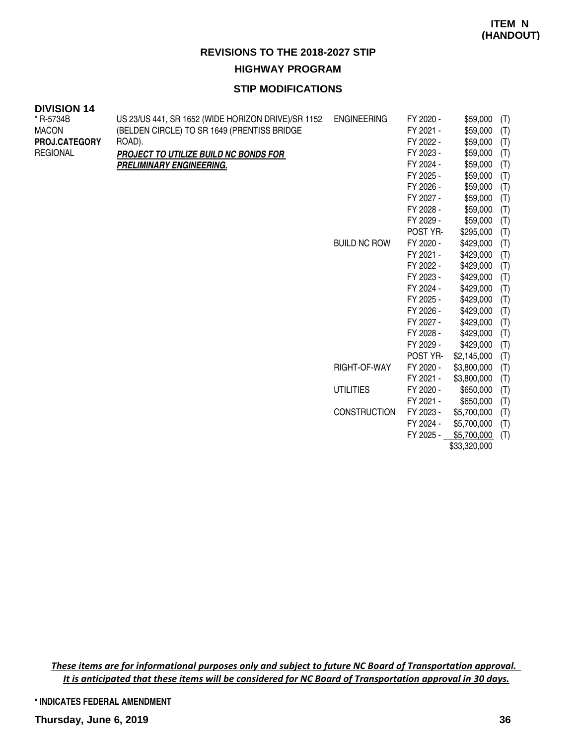#### **STIP MODIFICATIONS**

| <b>DIVISION 14</b> |                                                    |                     |           |             |     |
|--------------------|----------------------------------------------------|---------------------|-----------|-------------|-----|
| * R-5734B          | US 23/US 441, SR 1652 (WIDE HORIZON DRIVE)/SR 1152 | <b>ENGINEERING</b>  | FY 2020 - | \$59,000    | (T) |
| <b>MACON</b>       | (BELDEN CIRCLE) TO SR 1649 (PRENTISS BRIDGE        |                     | FY 2021 - | \$59,000    | (T) |
| PROJ.CATEGORY      | ROAD).                                             |                     | FY 2022 - | \$59,000    | (T) |
| <b>REGIONAL</b>    | <b>PROJECT TO UTILIZE BUILD NC BONDS FOR</b>       |                     | FY 2023 - | \$59,000    | (T) |
|                    | PRELIMINARY ENGINEERING.                           |                     | FY 2024 - | \$59,000    | (T) |
|                    |                                                    |                     | FY 2025 - | \$59,000    | (T) |
|                    |                                                    |                     | FY 2026 - | \$59,000    | (T) |
|                    |                                                    |                     | FY 2027 - | \$59,000    | (T) |
|                    |                                                    |                     | FY 2028 - | \$59,000    | (T) |
|                    |                                                    |                     | FY 2029 - | \$59,000    | (T) |
|                    |                                                    |                     | POST YR-  | \$295,000   | (T) |
|                    |                                                    | <b>BUILD NC ROW</b> | FY 2020 - | \$429,000   | (T) |
|                    |                                                    |                     | FY 2021 - | \$429,000   | (T) |
|                    |                                                    |                     | FY 2022 - | \$429,000   | (T) |
|                    |                                                    |                     | FY 2023 - | \$429,000   | (T) |
|                    |                                                    |                     | FY 2024 - | \$429,000   | (T) |
|                    |                                                    |                     | FY 2025 - | \$429,000   | (T) |
|                    |                                                    |                     | FY 2026 - | \$429,000   | (T) |
|                    |                                                    |                     | FY 2027 - | \$429,000   | (T) |
|                    |                                                    |                     | FY 2028 - | \$429,000   | (T) |
|                    |                                                    |                     | FY 2029 - | \$429,000   | (T) |
|                    |                                                    |                     | POST YR-  | \$2,145,000 | (T) |
|                    |                                                    | RIGHT-OF-WAY        | FY 2020 - | \$3,800,000 | (T) |
|                    |                                                    |                     | FY 2021 - | \$3,800,000 | (T) |
|                    |                                                    | <b>UTILITIES</b>    | FY 2020 - | \$650,000   | (T) |
|                    |                                                    |                     | FY 2021 - | \$650,000   | (T) |
|                    |                                                    | <b>CONSTRUCTION</b> | FY 2023 - | \$5,700,000 | (T) |
|                    |                                                    |                     | FY 2024 - | \$5,700,000 | (T) |
|                    |                                                    |                     | FY 2025 - | \$5,700,000 | (T) |

\$33,320,000

These items are for informational purposes only and subject to future NC Board of Transportation approval. It is anticipated that these items will be considered for NC Board of Transportation approval in 30 days.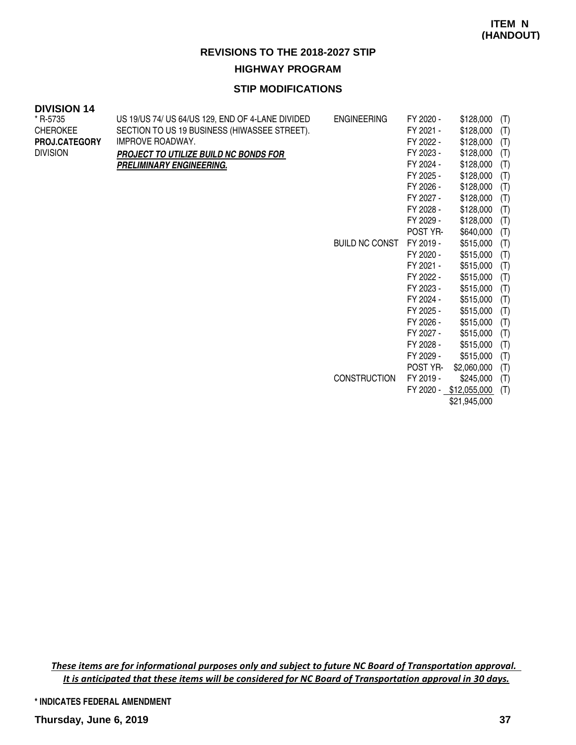### **STIP MODIFICATIONS**

| <b>DIVISION 14</b> |                                                  |                       |           |             |     |
|--------------------|--------------------------------------------------|-----------------------|-----------|-------------|-----|
| * R-5735           | US 19/US 74/ US 64/US 129, END OF 4-LANE DIVIDED | <b>ENGINEERING</b>    | FY 2020 - | \$128,000   | (T) |
| <b>CHEROKEE</b>    | SECTION TO US 19 BUSINESS (HIWASSEE STREET).     |                       | FY 2021 - | \$128,000   | (T) |
| PROJ.CATEGORY      | <b>IMPROVE ROADWAY.</b>                          |                       | FY 2022 - | \$128,000   | (T) |
| <b>DIVISION</b>    | <b>PROJECT TO UTILIZE BUILD NC BONDS FOR</b>     |                       | FY 2023 - | \$128,000   | (T) |
|                    | PRELIMINARY ENGINEERING.                         |                       | FY 2024 - | \$128,000   | (T) |
|                    |                                                  |                       | FY 2025 - | \$128,000   | (T) |
|                    |                                                  |                       | FY 2026 - | \$128,000   | (T) |
|                    |                                                  |                       | FY 2027 - | \$128,000   | (T) |
|                    |                                                  |                       | FY 2028 - | \$128,000   | (T) |
|                    |                                                  |                       | FY 2029 - | \$128,000   | (T) |
|                    |                                                  |                       | POST YR-  | \$640,000   | (T) |
|                    |                                                  | <b>BUILD NC CONST</b> | FY 2019 - | \$515,000   | (T) |
|                    |                                                  |                       | FY 2020 - | \$515,000   | (T) |
|                    |                                                  |                       | FY 2021 - | \$515,000   | (T) |
|                    |                                                  |                       | FY 2022 - | \$515,000   | (T) |
|                    |                                                  |                       | FY 2023 - | \$515,000   | (T) |
|                    |                                                  |                       | FY 2024 - | \$515,000   | (T) |
|                    |                                                  |                       | FY 2025 - | \$515,000   | (T) |
|                    |                                                  |                       | FY 2026 - | \$515,000   | (T) |
|                    |                                                  |                       | FY 2027 - | \$515,000   | (T) |
|                    |                                                  |                       | FY 2028 - | \$515,000   | (T) |
|                    |                                                  |                       | FY 2029 - | \$515,000   | (T) |
|                    |                                                  |                       | POST YR-  | \$2,060,000 | (T) |
|                    |                                                  | <b>CONSTRUCTION</b>   | FY 2019 - | \$245,000   | (T) |

FY 2020 - \$12,055,000 (T) \$21,945,000

These items are for informational purposes only and subject to future NC Board of Transportation approval. It is anticipated that these items will be considered for NC Board of Transportation approval in 30 days.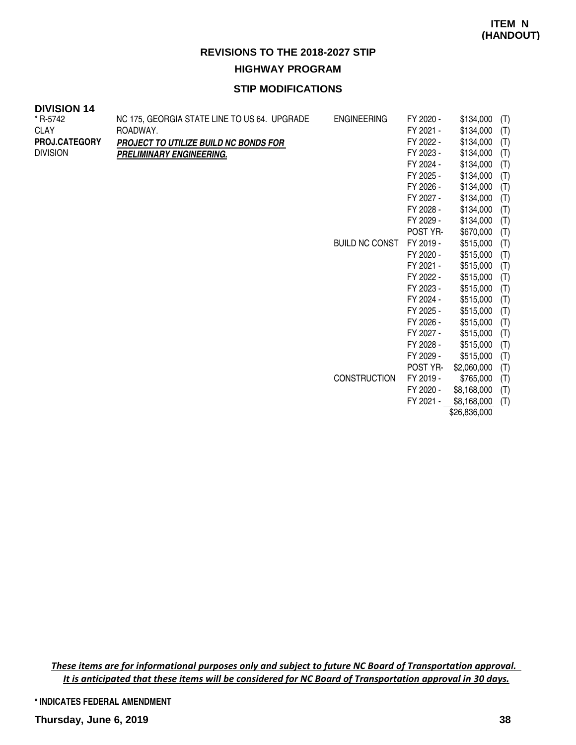## **STIP MODIFICATIONS**

| <b>DIVISION 14</b> |                                              |                       |           |                       |     |
|--------------------|----------------------------------------------|-----------------------|-----------|-----------------------|-----|
| * R-5742           | NC 175, GEORGIA STATE LINE TO US 64. UPGRADE | <b>ENGINEERING</b>    | FY 2020 - | \$134,000             | (T) |
| <b>CLAY</b>        | ROADWAY.                                     |                       | FY 2021 - | \$134,000             | (T) |
| PROJ.CATEGORY      | PROJECT TO UTILIZE BUILD NC BONDS FOR        |                       | FY 2022 - | \$134,000             | (T) |
| <b>DIVISION</b>    | <b>PRELIMINARY ENGINEERING.</b>              |                       | FY 2023 - | \$134,000             | (T) |
|                    |                                              |                       | FY 2024 - | \$134,000             | (T) |
|                    |                                              |                       | FY 2025 - | \$134,000             | (T) |
|                    |                                              |                       | FY 2026 - | \$134,000             | (T) |
|                    |                                              |                       | FY 2027 - | \$134,000             | (T) |
|                    |                                              |                       | FY 2028 - | \$134,000             | (T) |
|                    |                                              |                       | FY 2029 - | \$134,000             | (T) |
|                    |                                              |                       | POST YR-  | \$670,000             | (T) |
|                    |                                              | <b>BUILD NC CONST</b> | FY 2019 - | \$515,000             | (T) |
|                    |                                              |                       | FY 2020 - | \$515,000             | (T) |
|                    |                                              |                       | FY 2021 - | \$515,000             | (T) |
|                    |                                              |                       | FY 2022 - | \$515,000             | (T) |
|                    |                                              |                       | FY 2023 - | \$515,000             | (T) |
|                    |                                              |                       | FY 2024 - | \$515,000             | (T) |
|                    |                                              |                       | FY 2025 - | \$515,000             | (T) |
|                    |                                              |                       | FY 2026 - | \$515,000             | (T) |
|                    |                                              |                       | FY 2027 - | \$515,000             | (T) |
|                    |                                              |                       | FY 2028 - | \$515,000             | (T) |
|                    |                                              |                       | FY 2029 - | \$515,000             | (T) |
|                    |                                              |                       | POST YR-  | \$2,060,000           | (T) |
|                    |                                              | <b>CONSTRUCTION</b>   | FY 2019 - | \$765,000             | (T) |
|                    |                                              |                       | LA JUJU   | <b>CO 160 000 7T)</b> |     |

FY 2020 - \$8,168,000 (T) FY 2021 - \$8,168,000 (T) \$26,836,000

These items are for informational purposes only and subject to future NC Board of Transportation approval. It is anticipated that these items will be considered for NC Board of Transportation approval in 30 days.

**\* INDICATES FEDERAL AMENDMENT**

**DIVISION 14**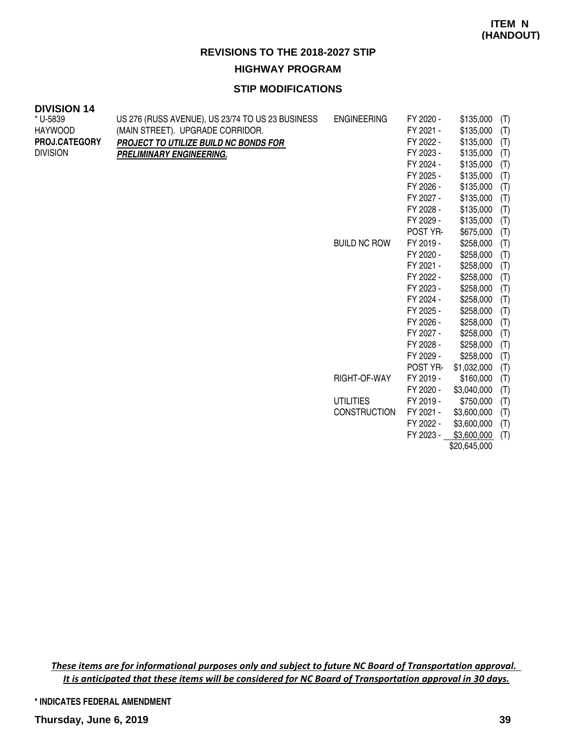### **STIP MODIFICATIONS**

| <b>DIVISION 14</b> |                                                  |                     |           |             |     |
|--------------------|--------------------------------------------------|---------------------|-----------|-------------|-----|
| * U-5839           | US 276 (RUSS AVENUE), US 23/74 TO US 23 BUSINESS | <b>ENGINEERING</b>  | FY 2020 - | \$135,000   | (T) |
| <b>HAYWOOD</b>     | (MAIN STREET). UPGRADE CORRIDOR.                 |                     | FY 2021 - | \$135,000   | (T) |
| PROJ.CATEGORY      | PROJECT TO UTILIZE BUILD NC BONDS FOR            |                     | FY 2022 - | \$135,000   | (T) |
| <b>DIVISION</b>    | <b>PRELIMINARY ENGINEERING.</b>                  |                     | FY 2023 - | \$135,000   | (T) |
|                    |                                                  |                     | FY 2024 - | \$135,000   | (T) |
|                    |                                                  |                     | FY 2025 - | \$135,000   | (T) |
|                    |                                                  |                     | FY 2026 - | \$135,000   | (T) |
|                    |                                                  |                     | FY 2027 - | \$135,000   | (T) |
|                    |                                                  |                     | FY 2028 - | \$135,000   | (T) |
|                    |                                                  |                     | FY 2029 - | \$135,000   | (T) |
|                    |                                                  |                     | POST YR-  | \$675,000   | (T) |
|                    |                                                  | <b>BUILD NC ROW</b> | FY 2019 - | \$258,000   | (T) |
|                    |                                                  |                     | FY 2020 - | \$258,000   | (T) |
|                    |                                                  |                     | FY 2021 - | \$258,000   | (T) |
|                    |                                                  |                     | FY 2022 - | \$258,000   | (T) |
|                    |                                                  |                     | FY 2023 - | \$258,000   | (T) |
|                    |                                                  |                     | FY 2024 - | \$258,000   | (T) |
|                    |                                                  |                     | FY 2025 - | \$258,000   | (T) |
|                    |                                                  |                     | FY 2026 - | \$258,000   | (T) |
|                    |                                                  |                     | FY 2027 - | \$258,000   | (T) |
|                    |                                                  |                     | FY 2028 - | \$258,000   | (T) |
|                    |                                                  |                     | FY 2029 - | \$258,000   | (T) |
|                    |                                                  |                     | POST YR-  | \$1,032,000 | (T) |
|                    |                                                  | RIGHT-OF-WAY        | FY 2019 - | \$160,000   | (T) |
|                    |                                                  |                     | FY 2020 - | \$3,040,000 | (T) |
|                    |                                                  | <b>UTILITIES</b>    | FY 2019 - | \$750,000   | (T) |
|                    |                                                  | <b>CONSTRUCTION</b> | FY 2021 - | \$3,600,000 | (T) |
|                    |                                                  |                     | FY 2022 - | \$3,600,000 | (T) |

These items are for informational purposes only and subject to future NC Board of Transportation approval. It is anticipated that these items will be considered for NC Board of Transportation approval in 30 days.

**\* INDICATES FEDERAL AMENDMENT**

FY 2023 - \$3,600,000 (T) \$20,645,000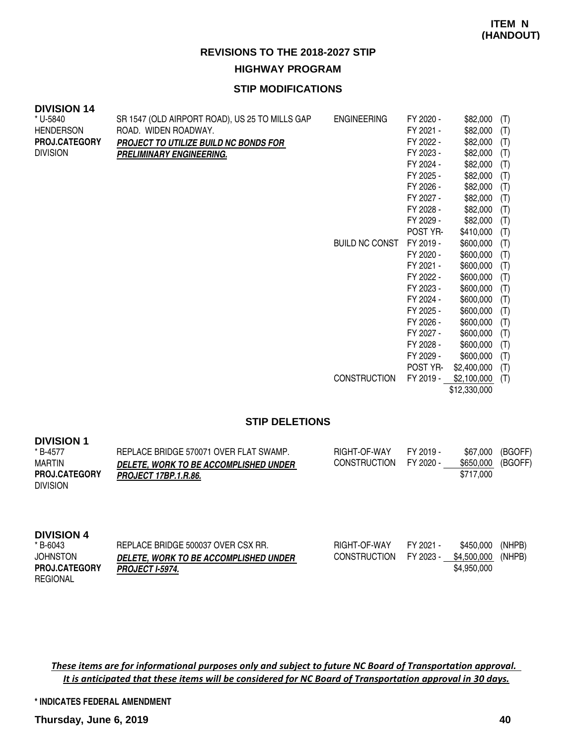## **STIP MODIFICATIONS**

| <b>DIVISION 14</b>   |                                                |                       |                 |             |     |
|----------------------|------------------------------------------------|-----------------------|-----------------|-------------|-----|
| * U-5840             | SR 1547 (OLD AIRPORT ROAD), US 25 TO MILLS GAP | <b>ENGINEERING</b>    | FY 2020 -       | \$82,000    | (T) |
| <b>HENDERSON</b>     | ROAD. WIDEN ROADWAY.                           |                       | FY 2021 -       | \$82,000    | (T) |
| <b>PROJ.CATEGORY</b> | PROJECT TO UTILIZE BUILD NC BONDS FOR          |                       | FY 2022 -       | \$82,000    | (T) |
| <b>DIVISION</b>      | PRELIMINARY ENGINEERING.                       |                       | FY 2023 -       | \$82,000    | (T) |
|                      |                                                |                       | FY 2024 -       | \$82,000    | (T) |
|                      |                                                |                       | FY 2025 -       | \$82,000    | (T) |
|                      |                                                |                       | FY 2026 -       | \$82,000    | (T) |
|                      |                                                |                       | FY 2027 -       | \$82,000    | (T) |
|                      |                                                |                       | FY 2028 -       | \$82,000    | (T) |
|                      |                                                |                       | FY 2029 -       | \$82,000    | (T) |
|                      |                                                |                       | <b>POST YR-</b> | \$410,000   | (T) |
|                      |                                                | <b>BUILD NC CONST</b> | FY 2019 -       | \$600,000   | (T) |
|                      |                                                |                       | FY 2020 -       | \$600,000   | (T) |
|                      |                                                |                       | FY 2021 -       | \$600,000   | (T) |
|                      |                                                |                       | FY 2022 -       | \$600,000   | (T) |
|                      |                                                |                       | FY 2023 -       | \$600,000   | (T) |
|                      |                                                |                       | FY 2024 -       | \$600,000   | (T) |
|                      |                                                |                       | FY 2025 -       | \$600,000   | (T) |
|                      |                                                |                       | FY 2026 -       | \$600,000   | (T) |
|                      |                                                |                       | FY 2027 -       | \$600,000   | (T) |
|                      |                                                |                       | FY 2028 -       | \$600,000   | (T) |
|                      |                                                |                       | FY 2029 -       | \$600,000   | (T) |
|                      |                                                |                       | POST YR-        | \$2,400,000 | (T) |
|                      |                                                | <b>CONSTRUCTION</b>   | FY 2019 -       | \$2,100,000 | (T) |

\$12,330,000

### **STIP DELETIONS**

| <b>DIVISION 1</b>    |                                              |                     |           |           |         |
|----------------------|----------------------------------------------|---------------------|-----------|-----------|---------|
| * B-4577             | REPLACE BRIDGE 570071 OVER FLAT SWAMP.       | RIGHT-OF-WAY        | FY 2019 - | \$67.000  | (BGOFF) |
| MARTIN               | <i>DELETE. WORK TO BE ACCOMPLISHED UNDER</i> | <b>CONSTRUCTION</b> | FY 2020 - | \$650,000 | (BGOFF) |
| <b>PROJ.CATEGORY</b> | <b>PROJECT 17BP.1.R.86.</b>                  |                     |           | \$717.000 |         |
| <b>DIVISION</b>      |                                              |                     |           |           |         |

### **DIVISION 4**

| * B-6043             | REPLACE BRIDGE 500037 OVER CSX RR.           | RIGHT-OF-WAY        | FY 2021 - | \$450,000 (NHPB) |        |
|----------------------|----------------------------------------------|---------------------|-----------|------------------|--------|
| <b>JOHNSTON</b>      | <b>DELETE. WORK TO BE ACCOMPLISHED UNDER</b> | <b>CONSTRUCTION</b> | FY 2023 - | \$4.500.000      | (NHPB) |
| <b>PROJ.CATEGORY</b> | <b>PROJECT I-5974.</b>                       |                     |           | \$4,950,000      |        |
| REGIONAL             |                                              |                     |           |                  |        |

These items are for informational purposes only and subject to future NC Board of Transportation approval. It is anticipated that these items will be considered for NC Board of Transportation approval in 30 days.

**\* INDICATES FEDERAL AMENDMENT**